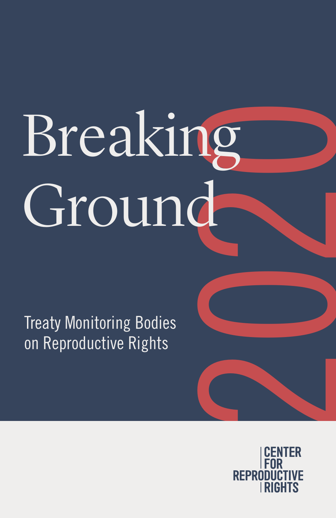# 2020 Breaking Ground

Treaty Monitoring Bodies on Reproductive Rights

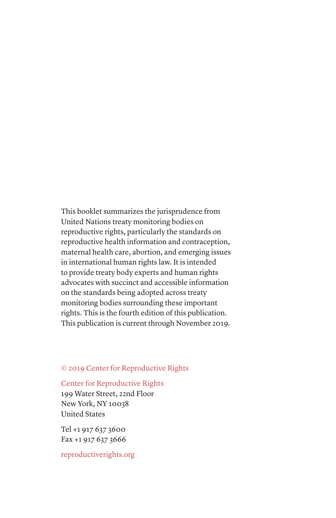This booklet summarizes the jurisprudence from United Nations treaty monitoring bodies on reproductive rights, particularly the standards on reproductive health information and contraception, maternal health care, abortion, and emerging issues in international human rights law. It is intended to provide treaty body experts and human rights advocates with succinct and accessible information on the standards being adopted across treaty monitoring bodies surrounding these important rights. This is the fourth edition of this publication. This publication is current through November 2019.

#### © 2019 Center for Reproductive Rights

#### Center for Reproductive Rights

199 Water Street, 22nd Floor New York, NY 10038 United States

Tel +1 917 637 3600 Fax +1 917 637 3666

reproductiverights.org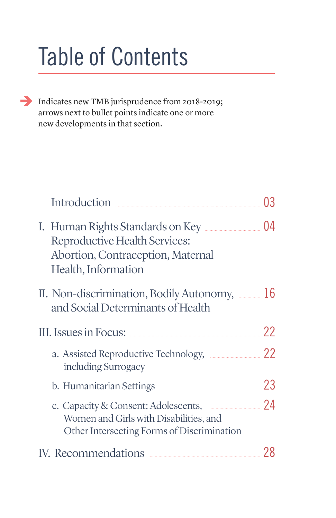# Table of Contents

Indicates new TMB jurisprudence from 2018-2019; arrows next to bullet points indicate one or more new developments in that section.

| Introduction                                                                                                                  |    |
|-------------------------------------------------------------------------------------------------------------------------------|----|
| I. Human Rights Standards on Key<br>Reproductive Health Services:<br>Abortion, Contraception, Maternal<br>Health, Information | 04 |
| II. Non-discrimination, Bodily Autonomy,<br>and Social Determinants of Health                                                 | 16 |
| III. Issues in Focus:                                                                                                         | 22 |
| a. Assisted Reproductive Technology, Electronic<br>including Surrogacy                                                        | 22 |
| b. Humanitarian Settings                                                                                                      | 23 |
| c. Capacity & Consent: Adolescents,<br>Women and Girls with Disabilities, and<br>Other Intersecting Forms of Discrimination   | 24 |
| IV. Recommendations                                                                                                           |    |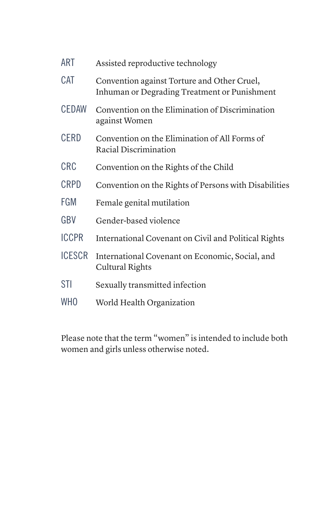| <b>ART</b>      | Assisted reproductive technology                                                            |
|-----------------|---------------------------------------------------------------------------------------------|
| <b>CAT</b>      | Convention against Torture and Other Cruel,<br>Inhuman or Degrading Treatment or Punishment |
| <b>CEDAW</b>    | Convention on the Elimination of Discrimination<br>against Women                            |
| <b>CERD</b>     | Convention on the Elimination of All Forms of<br>Racial Discrimination                      |
| <b>CRC</b>      | Convention on the Rights of the Child                                                       |
| <b>CRPD</b>     | Convention on the Rights of Persons with Disabilities                                       |
| FGM             | Female genital mutilation                                                                   |
| GBV             | Gender-based violence                                                                       |
| <b>ICCPR</b>    | International Covenant on Civil and Political Rights                                        |
| <b>ICESCR</b>   | International Covenant on Economic, Social, and<br>Cultural Rights                          |
| <b>STI</b>      | Sexually transmitted infection                                                              |
| WH <sub>0</sub> | World Health Organization                                                                   |
|                 |                                                                                             |

Please note that the term "women" is intended to include both women and girls unless otherwise noted.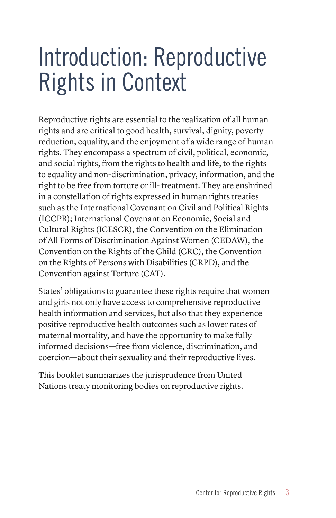## Introduction: Reproductive Rights in Context

Reproductive rights are essential to the realization of all human rights and are critical to good health, survival, dignity, poverty reduction, equality, and the enjoyment of a wide range of human rights. They encompass a spectrum of civil, political, economic, and social rights, from the rights to health and life, to the rights to equality and non-discrimination, privacy, information, and the right to be free from torture or ill- treatment. They are enshrined in a constellation of rights expressed in human rights treaties such as the International Covenant on Civil and Political Rights (ICCPR); International Covenant on Economic, Social and Cultural Rights (ICESCR), the Convention on the Elimination of All Forms of Discrimination Against Women (CEDAW), the Convention on the Rights of the Child (CRC), the Convention on the Rights of Persons with Disabilities (CRPD), and the Convention against Torture (CAT).

States' obligations to guarantee these rights require that women and girls not only have access to comprehensive reproductive health information and services, but also that they experience positive reproductive health outcomes such as lower rates of maternal mortality, and have the opportunity to make fully informed decisions—free from violence, discrimination, and coercion—about their sexuality and their reproductive lives.

This booklet summarizes the jurisprudence from United Nations treaty monitoring bodies on reproductive rights.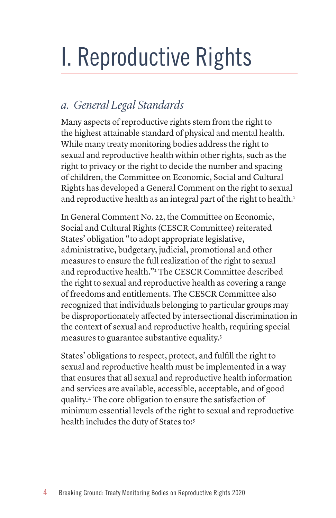# I. Reproductive Rights

## *a. General Legal Standards*

Many aspects of reproductive rights stem from the right to the highest attainable standard of physical and mental health. While many treaty monitoring bodies address the right to sexual and reproductive health within other rights, such as the right to privacy or the right to decide the number and spacing of children, the Committee on Economic, Social and Cultural Rights has developed a General Comment on the right to sexual and reproductive health as an integral part of the right to health.<sup>1</sup>

In General Comment No. 22, the Committee on Economic, Social and Cultural Rights (CESCR Committee) reiterated States' obligation "to adopt appropriate legislative, administrative, budgetary, judicial, promotional and other measures to ensure the full realization of the right to sexual and reproductive health."2 The CESCR Committee described the right to sexual and reproductive health as covering a range of freedoms and entitlements. The CESCR Committee also recognized that individuals belonging to particular groups may be disproportionately affected by intersectional discrimination in the context of sexual and reproductive health, requiring special measures to guarantee substantive equality.3

States' obligations to respect, protect, and fulfill the right to sexual and reproductive health must be implemented in a way that ensures that all sexual and reproductive health information and services are available, accessible, acceptable, and of good quality.4 The core obligation to ensure the satisfaction of minimum essential levels of the right to sexual and reproductive health includes the duty of States to:<sup>5</sup>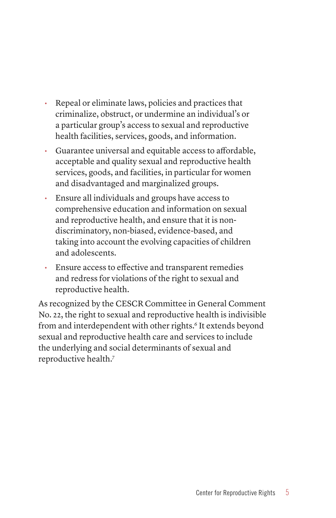- Repeal or eliminate laws, policies and practices that criminalize, obstruct, or undermine an individual's or a particular group's access to sexual and reproductive health facilities, services, goods, and information.
- Guarantee universal and equitable access to affordable, acceptable and quality sexual and reproductive health services, goods, and facilities, in particular for women and disadvantaged and marginalized groups.
- Ensure all individuals and groups have access to comprehensive education and information on sexual and reproductive health, and ensure that it is nondiscriminatory, non-biased, evidence-based, and taking into account the evolving capacities of children and adolescents.
- Ensure access to effective and transparent remedies and redress for violations of the right to sexual and reproductive health.

As recognized by the CESCR Committee in General Comment No. 22, the right to sexual and reproductive health is indivisible from and interdependent with other rights.<sup>6</sup> It extends beyond sexual and reproductive health care and services to include the underlying and social determinants of sexual and reproductive health.7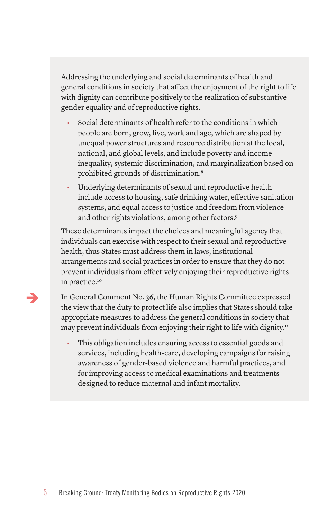Addressing the underlying and social determinants of health and general conditions in society that affect the enjoyment of the right to life with dignity can contribute positively to the realization of substantive gender equality and of reproductive rights.

- Social determinants of health refer to the conditions in which people are born, grow, live, work and age, which are shaped by unequal power structures and resource distribution at the local, national, and global levels, and include poverty and income inequality, systemic discrimination, and marginalization based on prohibited grounds of discrimination.8
- Underlying determinants of sexual and reproductive health include access to housing, safe drinking water, effective sanitation systems, and equal access to justice and freedom from violence and other rights violations, among other factors.<sup>9</sup>

These determinants impact the choices and meaningful agency that individuals can exercise with respect to their sexual and reproductive health, thus States must address them in laws, institutional arrangements and social practices in order to ensure that they do not prevent individuals from effectively enjoying their reproductive rights in practice.<sup>10</sup>

In General Comment No. 36, the Human Rights Committee expressed the view that the duty to protect life also implies that States should take appropriate measures to address the general conditions in society that may prevent individuals from enjoying their right to life with dignity.<sup>11</sup>

• This obligation includes ensuring access to essential goods and services, including health-care, developing campaigns for raising awareness of gender-based violence and harmful practices, and for improving access to medical examinations and treatments designed to reduce maternal and infant mortality.

⇒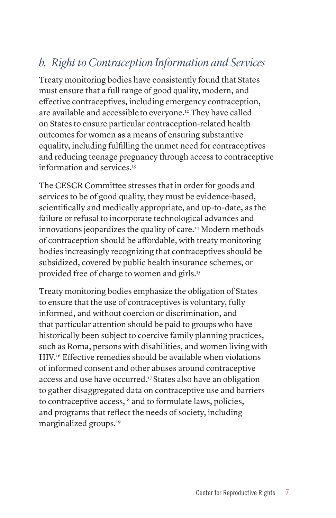## *b. Right to Contraception Information and Services*

Treaty monitoring bodies have consistently found that States must ensure that a full range of good quality, modern, and effective contraceptives, including emergency contraception, are available and accessibleto everyone.12 They have called on States to ensure particular contraception-related health outcomes for women as a means of ensuring substantive equality, including fulfilling the unmet need for contraceptives and reducing teenage pregnancy through access to contraceptive information and services.13

The CESCR Committee stresses that in order for goods and services to be of good quality, they must be evidence-based, scientifically and medically appropriate, and up-to-date, as the failure or refusal to incorporate technological advances and innovations jeopardizes the quality of care.14 Modern methods of contraception should be affordable, with treaty monitoring bodies increasingly recognizing that contraceptives should be subsidized, covered by public health insurance schemes, or provided free of charge to women and girls.<sup>15</sup>

Treaty monitoring bodies emphasize the obligation of States to ensure that the use of contraceptives is voluntary, fully informed, and without coercion or discrimination, and that particular attention should be paid to groups who have historically been subject to coercive family planning practices, such as Roma, persons with disabilities, and women living with HIV.16 Effective remedies should be available when violations of informed consent and other abuses around contraceptive access and use have occurred.17 States also have an obligation to gather disaggregated data on contraceptive use and barriers to contraceptive access,<sup>18</sup> and to formulate laws, policies, and programs that reflect the needs of society, including marginalized groups.19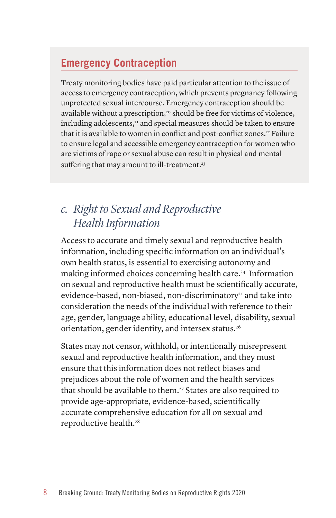## **Emergency Contraception**

Treaty monitoring bodies have paid particular attention to the issue of access to emergency contraception, which prevents pregnancy following unprotected sexual intercourse. Emergency contraception should be available without a prescription,<sup>20</sup> should be free for victims of violence, including adolescents,<sup>21</sup> and special measures should be taken to ensure that it is available to women in conflict and post-conflict zones.<sup>22</sup> Failure to ensure legal and accessible emergency contraception for women who are victims of rape or sexual abuse can result in physical and mental suffering that may amount to ill-treatment.<sup>23</sup>

## *c. Right to Sexual and Reproductive Health Information*

Access to accurate and timely sexual and reproductive health information, including specific information on an individual's own health status, is essential to exercising autonomy and making informed choices concerning health care.24 Information on sexual and reproductive health must be scientifically accurate, evidence-based, non-biased, non-discriminatory<sup>25</sup> and take into consideration the needs of the individual with reference to their age, gender, language ability, educational level, disability, sexual orientation, gender identity, and intersex status.<sup>26</sup>

States may not censor, withhold, or intentionally misrepresent sexual and reproductive health information, and they must ensure that this information does not reflect biases and prejudices about the role of women and the health services that should be available to them.<sup>27</sup> States are also required to provide age-appropriate, evidence-based, scientifically accurate comprehensive education for all on sexual and reproductive health.<sup>28</sup>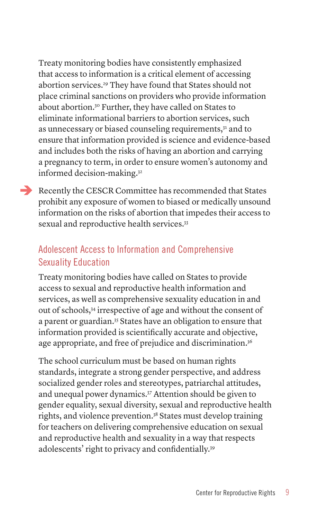Treaty monitoring bodies have consistently emphasized that access to information is a critical element of accessing abortion services.<sup>29</sup> They have found that States should not place criminal sanctions on providers who provide information about abortion.30 Further, they have called on States to eliminate informational barriers to abortion services, such as unnecessary or biased counseling requirements,<sup>31</sup> and to ensure that information provided is science and evidence-based and includes both the risks of having an abortion and carrying a pregnancy to term, in order to ensure women's autonomy and informed decision-making.32

Recently the CESCR Committee has recommended that States prohibit any exposure of women to biased or medically unsound information on the risks of abortion that impedes their access to sexual and reproductive health services.<sup>33</sup>

## Adolescent Access to Information and Comprehensive Sexuality Education

Treaty monitoring bodies have called on States to provide access to sexual and reproductive health information and services, as well as comprehensive sexuality education in and out of schools,34 irrespective of age and without the consent of a parent or guardian.35 States have an obligation to ensure that information provided is scientifically accurate and objective, age appropriate, and free of prejudice and discrimination.<sup>36</sup>

The school curriculum must be based on human rights standards, integrate a strong gender perspective, and address socialized gender roles and stereotypes, patriarchal attitudes, and unequal power dynamics.37 Attention should be given to gender equality, sexual diversity, sexual and reproductive health rights, and violence prevention.38 States must develop training for teachers on delivering comprehensive education on sexual and reproductive health and sexuality in a way that respects adolescents' right to privacy and confidentially.39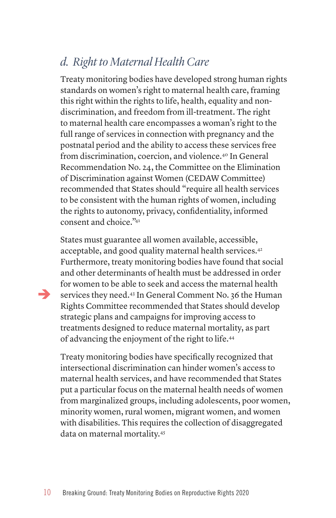## *d. Right to Maternal Health Care*

Treaty monitoring bodies have developed strong human rights standards on women's right to maternal health care, framing this right within the rights to life, health, equality and nondiscrimination, and freedom from ill-treatment. The right to maternal health care encompasses a woman's right to the full range of services in connection with pregnancy and the postnatal period and the ability to access these services free from discrimination, coercion, and violence.40 In General Recommendation No. 24, the Committee on the Elimination of Discrimination against Women (CEDAW Committee) recommended that States should "require all health services to be consistent with the human rights of women, including the rights to autonomy, privacy, confidentiality, informed consent and choice."41

States must guarantee all women available, accessible, acceptable, and good quality maternal health services.<sup>42</sup> Furthermore, treaty monitoring bodies have found that social and other determinants of health must be addressed in order for women to be able to seek and access the maternal health services they need.43 In General Comment No. 36 the Human Rights Committee recommended that States should develop strategic plans and campaigns for improving access to treatments designed to reduce maternal mortality, as part of advancing the enjoyment of the right to life.44

Treaty monitoring bodies have specifically recognized that intersectional discrimination can hinder women's access to maternal health services, and have recommended that States put a particular focus on the maternal health needs of women from marginalized groups, including adolescents, poor women, minority women, rural women, migrant women, and women with disabilities. This requires the collection of disaggregated data on maternal mortality.45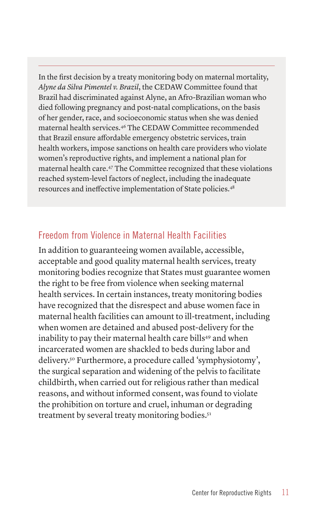In the first decision by a treaty monitoring body on maternal mortality, *Alyne da Silva Pimentel v. Brazil*, the CEDAW Committee found that Brazil had discriminated against Alyne, an Afro-Brazilian woman who died following pregnancy and post-natal complications, on the basis of her gender, race, and socioeconomic status when she was denied maternal health services.46 The CEDAW Committee recommended that Brazil ensure affordable emergency obstetric services, train health workers, impose sanctions on health care providers who violate women's reproductive rights, and implement a national plan for maternal health care.47 The Committee recognized that these violations reached system-level factors of neglect, including the inadequate resources and ineffective implementation of State policies.48

### Freedom from Violence in Maternal Health Facilities

In addition to guaranteeing women available, accessible, acceptable and good quality maternal health services, treaty monitoring bodies recognize that States must guarantee women the right to be free from violence when seeking maternal health services. In certain instances, treaty monitoring bodies have recognized that the disrespect and abuse women face in maternal health facilities can amount to ill-treatment, including when women are detained and abused post-delivery for the inability to pay their maternal health care bills<sup>49</sup> and when incarcerated women are shackled to beds during labor and delivery.50 Furthermore, a procedure called 'symphysiotomy', the surgical separation and widening of the pelvis to facilitate childbirth, when carried out for religious rather than medical reasons, and without informed consent, was found to violate the prohibition on torture and cruel, inhuman or degrading treatment by several treaty monitoring bodies.<sup>51</sup>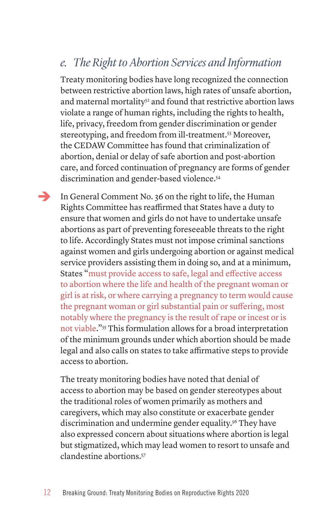## *e. The Right to Abortion Services and Information*

Treaty monitoring bodies have long recognized the connection between restrictive abortion laws, high rates of unsafe abortion, and maternal mortality<sup>52</sup> and found that restrictive abortion laws violate a range of human rights, including the rights to health, life, privacy, freedom from gender discrimination or gender stereotyping, and freedom from ill-treatment.<sup>53</sup> Moreover, the CEDAW Committee has found that criminalization of abortion, denial or delay of safe abortion and post-abortion care, and forced continuation of pregnancy are forms of gender discrimination and gender-based violence.54

 $\rightarrow$ 

In General Comment No. 36 on the right to life, the Human Rights Committee has reaffirmed that States have a duty to ensure that women and girls do not have to undertake unsafe abortions as part of preventing foreseeable threats to the right to life. Accordingly States must not impose criminal sanctions against women and girls undergoing abortion or against medical service providers assisting them in doing so, and at a minimum, States "must provide access to safe, legal and effective access to abortion where the life and health of the pregnant woman or girl is at risk, or where carrying a pregnancy to term would cause the pregnant woman or girl substantial pain or suffering, most notably where the pregnancy is the result of rape or incest or is not viable."55 This formulation allows for a broad interpretation of the minimum grounds under which abortion should be made legal and also calls on states to take affirmative steps to provide access to abortion.

The treaty monitoring bodies have noted that denial of access to abortion may be based on gender stereotypes about the traditional roles of women primarily as mothers and caregivers, which may also constitute or exacerbate gender discrimination and undermine gender equality.<sup>56</sup> They have also expressed concern about situations where abortion is legal but stigmatized, which may lead women to resort to unsafe and clandestine abortions.57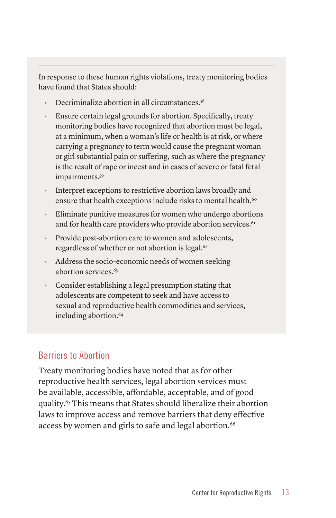In response to these human rights violations, treaty monitoring bodies have found that States should:

- Decriminalize abortion in all circumstances.58
- Ensure certain legal grounds for abortion. Specifically, treaty monitoring bodies have recognized that abortion must be legal, at a minimum, when a woman's life or health is at risk, or where carrying a pregnancy to term would cause the pregnant woman or girl substantial pain or suffering, such as where the pregnancy is the result of rape or incest and in cases of severe or fatal fetal impairments.<sup>59</sup>
- Interpret exceptions to restrictive abortion laws broadly and ensure that health exceptions include risks to mental health.<sup>60</sup>
- Eliminate punitive measures for women who undergo abortions and for health care providers who provide abortion services.<sup>61</sup>
- Provide post-abortion care to women and adolescents, regardless of whether or not abortion is legal.<sup>62</sup>
- Address the socio-economic needs of women seeking abortion services.63
- Consider establishing a legal presumption stating that adolescents are competent to seek and have access to sexual and reproductive health commodities and services, including abortion.<sup>64</sup>

## Barriers to Abortion

Treaty monitoring bodies have noted that as for other reproductive health services, legal abortion services must be available, accessible, affordable, acceptable, and of good quality.65 This means that States should liberalize their abortion laws to improve access and remove barriers that deny effective access by women and girls to safe and legal abortion.<sup>66</sup>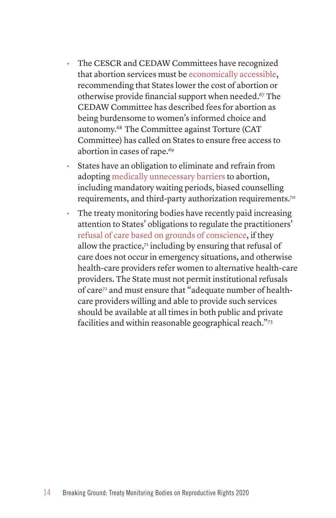- The CESCR and CEDAW Committees have recognized that abortion services must be economically accessible, recommending that States lower the cost of abortion or otherwise provide financial support when needed.<sup>67</sup> The CEDAW Committee has described fees for abortion as being burdensome to women's informed choice and autonomy.68 The Committee against Torture (CAT Committee) has called on States to ensure free access to abortion in cases of rape.<sup>69</sup>
- States have an obligation to eliminate and refrain from adopting medically unnecessary barriers to abortion, including mandatory waiting periods, biased counselling requirements, and third-party authorization requirements.70
- The treaty monitoring bodies have recently paid increasing attention to States' obligations to regulate the practitioners' refusal of care based on grounds of conscience, if they allow the practice, $7<sup>1</sup>$  including by ensuring that refusal of care does not occur in emergency situations, and otherwise health-care providers refer women to alternative health-care providers. The State must not permit institutional refusals of care72 and must ensure that "adequate number of healthcare providers willing and able to provide such services should be available at all times in both public and private facilities and within reasonable geographical reach."73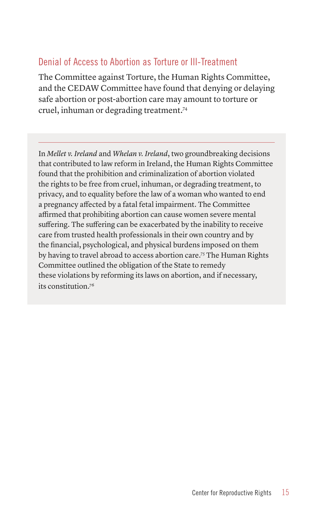## Denial of Access to Abortion as Torture or Ill-Treatment

The Committee against Torture, the Human Rights Committee, and the CEDAW Committee have found that denying or delaying safe abortion or post-abortion care may amount to torture or cruel, inhuman or degrading treatment.74

In *Mellet v. Ireland* and *Whelan v. Ireland*, two groundbreaking decisions that contributed to law reform in Ireland, the Human Rights Committee found that the prohibition and criminalization of abortion violated the rights to be free from cruel, inhuman, or degrading treatment, to privacy, and to equality before the law of a woman who wanted to end a pregnancy affected by a fatal fetal impairment. The Committee affirmed that prohibiting abortion can cause women severe mental suffering. The suffering can be exacerbated by the inability to receive care from trusted health professionals in their own country and by the financial, psychological, and physical burdens imposed on them by having to travel abroad to access abortion care.75 The Human Rights Committee outlined the obligation of the State to remedy these violations by reforming its laws on abortion, and if necessary, its constitution.76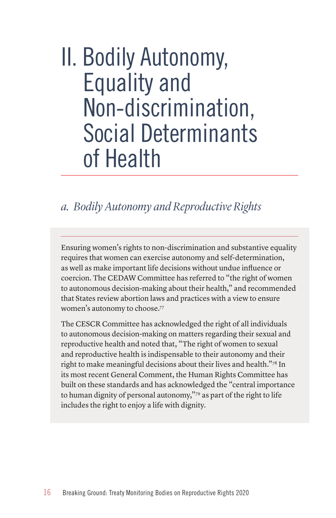## II. Bodily Autonomy, Equality and Non-discrimination, Social Determinants of Health

## *a. Bodily Autonomy and Reproductive Rights*

Ensuring women's rights to non-discrimination and substantive equality requires that women can exercise autonomy and self-determination, as well as make important life decisions without undue influence or coercion. The CEDAW Committee has referred to "the right of women to autonomous decision-making about their health," and recommended that States review abortion laws and practices with a view to ensure women's autonomy to choose.77

The CESCR Committee has acknowledged the right of all individuals to autonomous decision-making on matters regarding their sexual and reproductive health and noted that, "The right of women to sexual and reproductive health is indispensable to their autonomy and their right to make meaningful decisions about their lives and health."78 In its most recent General Comment, the Human Rights Committee has built on these standards and has acknowledged the "central importance to human dignity of personal autonomy,"79 as part of the right to life includes the right to enjoy a life with dignity.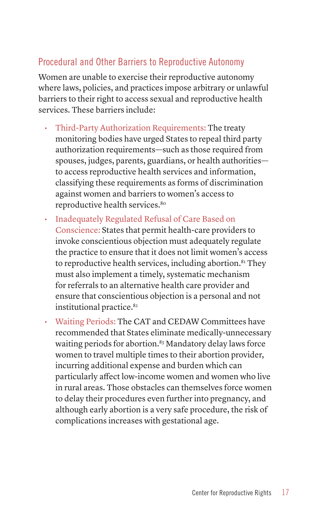## Procedural and Other Barriers to Reproductive Autonomy

Women are unable to exercise their reproductive autonomy where laws, policies, and practices impose arbitrary or unlawful barriers to their right to access sexual and reproductive health services. These barriers include:

- Third-Party Authorization Requirements: The treaty monitoring bodies have urged States to repeal third party authorization requirements—such as those required from spouses, judges, parents, guardians, or health authorities to access reproductive health services and information, classifying these requirements as forms of discrimination against women and barriers to women's access to reproductive health services.<sup>80</sup>
- Inadequately Regulated Refusal of Care Based on Conscience: States that permit health-care providers to invoke conscientious objection must adequately regulate the practice to ensure that it does not limit women's access to reproductive health services, including abortion. $81$  They must also implement a timely, systematic mechanism for referrals to an alternative health care provider and ensure that conscientious objection is a personal and not institutional practice.<sup>82</sup>
- Waiting Periods: The CAT and CEDAW Committees have recommended that States eliminate medically-unnecessary waiting periods for abortion.<sup>83</sup> Mandatory delay laws force women to travel multiple times to their abortion provider, incurring additional expense and burden which can particularly affect low-income women and women who live in rural areas. Those obstacles can themselves force women to delay their procedures even further into pregnancy, and although early abortion is a very safe procedure, the risk of complications increases with gestational age.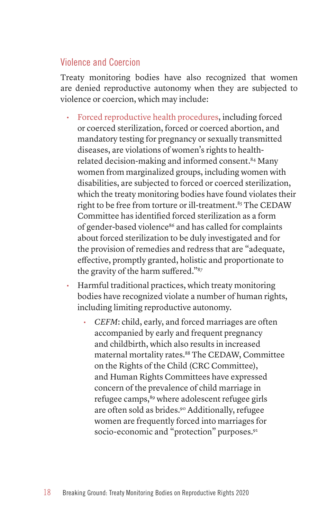## Violence and Coercion

Treaty monitoring bodies have also recognized that women are denied reproductive autonomy when they are subjected to violence or coercion, which may include:

- Forced reproductive health procedures, including forced or coerced sterilization, forced or coerced abortion, and mandatory testing for pregnancy or sexually transmitted diseases, are violations of women's rights to healthrelated decision-making and informed consent.84 Many women from marginalized groups, including women with disabilities, are subjected to forced or coerced sterilization, which the treaty monitoring bodies have found violates their right to be free from torture or ill-treatment.<sup>85</sup> The CEDAW Committee has identified forced sterilization as a form of gender-based violence<sup>86</sup> and has called for complaints about forced sterilization to be duly investigated and for the provision of remedies and redress that are "adequate, effective, promptly granted, holistic and proportionate to the gravity of the harm suffered."87
- Harmful traditional practices, which treaty monitoring bodies have recognized violate a number of human rights, including limiting reproductive autonomy.
	- *• CEFM*: child, early, and forced marriages are often accompanied by early and frequent pregnancy and childbirth, which also results in increased maternal mortality rates.88 The CEDAW, Committee on the Rights of the Child (CRC Committee), and Human Rights Committees have expressed concern of the prevalence of child marriage in refugee camps,<sup>89</sup> where adolescent refugee girls are often sold as brides.90 Additionally, refugee women are frequently forced into marriages for socio-economic and "protection" purposes.<sup>91</sup>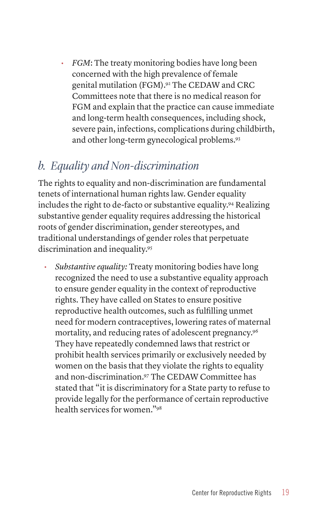*• FGM*: The treaty monitoring bodies have long been concerned with the high prevalence of female genital mutilation (FGM).92 The CEDAW and CRC Committees note that there is no medical reason for FGM and explain that the practice can cause immediate and long-term health consequences, including shock, severe pain, infections, complications during childbirth, and other long-term gynecological problems.93

## *b. Equality and Non-discrimination*

The rights to equality and non-discrimination are fundamental tenets of international human rights law. Gender equality includes the right to de-facto or substantive equality.94 Realizing substantive gender equality requires addressing the historical roots of gender discrimination, gender stereotypes, and traditional understandings of gender roles that perpetuate discrimination and inequality.95

*• Substantive equality:* Treaty monitoring bodies have long recognized the need to use a substantive equality approach to ensure gender equality in the context of reproductive rights. They have called on States to ensure positive reproductive health outcomes, such as fulfilling unmet need for modern contraceptives, lowering rates of maternal mortality, and reducing rates of adolescent pregnancy.96 They have repeatedly condemned laws that restrict or prohibit health services primarily or exclusively needed by women on the basis that they violate the rights to equality and non-discrimination.97 The CEDAW Committee has stated that "it is discriminatory for a State party to refuse to provide legally for the performance of certain reproductive health services for women."98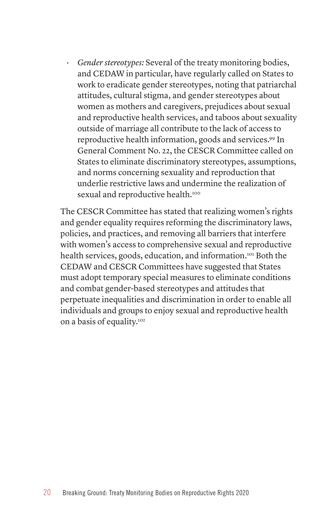*• Gender stereotypes:* Several of the treaty monitoring bodies, and CEDAW in particular, have regularly called on States to work to eradicate gender stereotypes, noting that patriarchal attitudes, cultural stigma, and gender stereotypes about women as mothers and caregivers, prejudices about sexual and reproductive health services, and taboos about sexuality outside of marriage all contribute to the lack of access to reproductive health information, goods and services.<sup>99</sup> In General Comment No. 22, the CESCR Committee called on States to eliminate discriminatory stereotypes, assumptions, and norms concerning sexuality and reproduction that underlie restrictive laws and undermine the realization of sexual and reproductive health.<sup>100</sup>

The CESCR Committee has stated that realizing women's rights and gender equality requires reforming the discriminatory laws, policies, and practices, and removing all barriers that interfere with women's access to comprehensive sexual and reproductive health services, goods, education, and information.101 Both the CEDAW and CESCR Committees have suggested that States must adopt temporary special measures to eliminate conditions and combat gender-based stereotypes and attitudes that perpetuate inequalities and discrimination in order to enable all individuals and groups to enjoy sexual and reproductive health on a basis of equality.102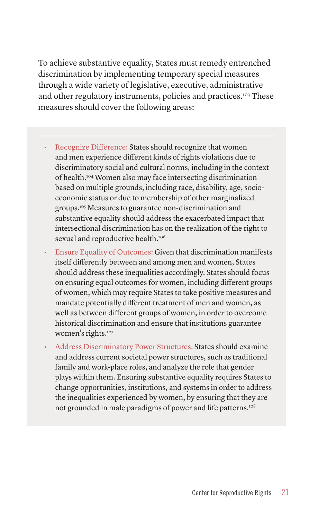To achieve substantive equality, States must remedy entrenched discrimination by implementing temporary special measures through a wide variety of legislative, executive, administrative and other regulatory instruments, policies and practices.<sup>103</sup> These measures should cover the following areas:

- Recognize Difference: States should recognize that women and men experience different kinds of rights violations due to discriminatory social and cultural norms, including in the context of health.104 Women also may face intersecting discrimination based on multiple grounds, including race, disability, age, socioeconomic status or due to membership of other marginalized groups.105 Measures to guarantee non-discrimination and substantive equality should address the exacerbated impact that intersectional discrimination has on the realization of the right to sexual and reproductive health.<sup>106</sup>
- Ensure Equality of Outcomes: Given that discrimination manifests itself differently between and among men and women, States should address these inequalities accordingly. States should focus on ensuring equal outcomes for women, including different groups of women, which may require States to take positive measures and mandate potentially different treatment of men and women, as well as between different groups of women, in order to overcome historical discrimination and ensure that institutions guarantee women's rights.<sup>107</sup>
- Address Discriminatory Power Structures: States should examine and address current societal power structures, such as traditional family and work-place roles, and analyze the role that gender plays within them. Ensuring substantive equality requires States to change opportunities, institutions, and systems in order to address the inequalities experienced by women, by ensuring that they are not grounded in male paradigms of power and life patterns.<sup>108</sup>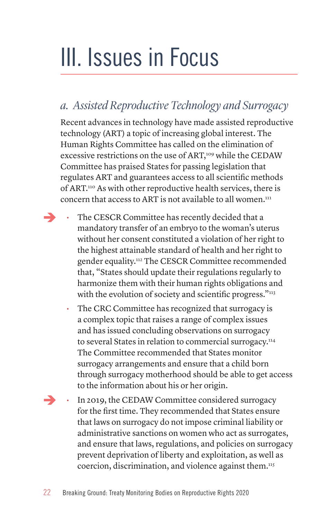# III. Issues in Focus

## *a. Assisted Reproductive Technology and Surrogacy*

Recent advances in technology have made assisted reproductive technology (ART) a topic of increasing global interest. The Human Rights Committee has called on the elimination of excessive restrictions on the use of ART,<sup>109</sup> while the CEDAW Committee has praised States for passing legislation that regulates ART and guarantees access to all scientific methods of ART.110 As with other reproductive health services, there is concern that access to ART is not available to all women.<sup>111</sup>

- The CESCR Committee has recently decided that a mandatory transfer of an embryo to the woman's uterus without her consent constituted a violation of her right to the highest attainable standard of health and her right to gender equality.112 The CESCR Committee recommended that, "States should update their regulations regularly to harmonize them with their human rights obligations and with the evolution of society and scientific progress."113
	- The CRC Committee has recognized that surrogacy is a complex topic that raises a range of complex issues and has issued concluding observations on surrogacy to several States in relation to commercial surrogacy.114 The Committee recommended that States monitor surrogacy arrangements and ensure that a child born through surrogacy motherhood should be able to get access to the information about his or her origin.
- $\rightarrow$ • In 2019, the CEDAW Committee considered surrogacy for the first time. They recommended that States ensure that laws on surrogacy do not impose criminal liability or administrative sanctions on women who act as surrogates, and ensure that laws, regulations, and policies on surrogacy prevent deprivation of liberty and exploitation, as well as coercion, discrimination, and violence against them.<sup>115</sup>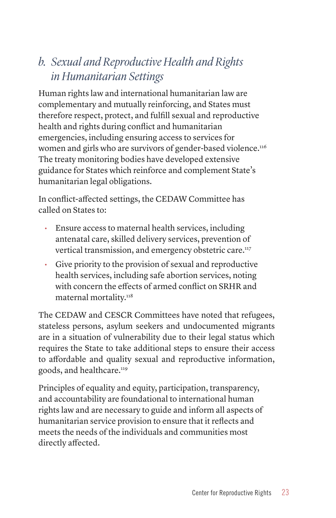## *b. Sexual and Reproductive Health and Rights in Humanitarian Settings*

Human rights law and international humanitarian law are complementary and mutually reinforcing, and States must therefore respect, protect, and fulfill sexual and reproductive health and rights during conflict and humanitarian emergencies, including ensuring access to services for women and girls who are survivors of gender-based violence.<sup>116</sup> The treaty monitoring bodies have developed extensive guidance for States which reinforce and complement State's humanitarian legal obligations.

In conflict-affected settings, the CEDAW Committee has called on States to:

- Ensure access to maternal health services, including antenatal care, skilled delivery services, prevention of vertical transmission, and emergency obstetric care.117
- Give priority to the provision of sexual and reproductive health services, including safe abortion services, noting with concern the effects of armed conflict on SRHR and maternal mortality.<sup>118</sup>

The CEDAW and CESCR Committees have noted that refugees, stateless persons, asylum seekers and undocumented migrants are in a situation of vulnerability due to their legal status which requires the State to take additional steps to ensure their access to affordable and quality sexual and reproductive information, goods, and healthcare.119

Principles of equality and equity, participation, transparency, and accountability are foundational to international human rights law and are necessary to guide and inform all aspects of humanitarian service provision to ensure that it reflects and meets the needs of the individuals and communities most directly affected.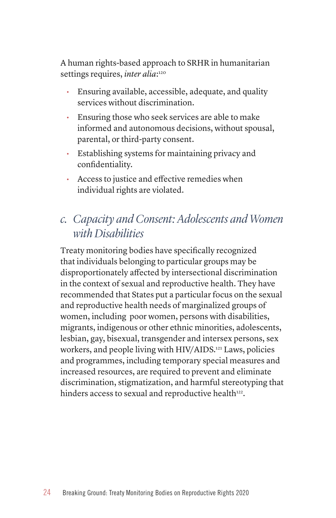A human rights-based approach to SRHR in humanitarian settings requires, *inter alia*:<sup>120</sup>

- Ensuring available, accessible, adequate, and quality services without discrimination.
- Ensuring those who seek services are able to make informed and autonomous decisions, without spousal, parental, or third-party consent.
- Establishing systems for maintaining privacy and confidentiality.
- Access to justice and effective remedies when individual rights are violated.

## *c. Capacity and Consent: Adolescents and Women with Disabilities*

Treaty monitoring bodies have specifically recognized that individuals belonging to particular groups may be disproportionately affected by intersectional discrimination in the context of sexual and reproductive health. They have recommended that States put a particular focus on the sexual and reproductive health needs of marginalized groups of women, including poor women, persons with disabilities, migrants, indigenous or other ethnic minorities, adolescents, lesbian, gay, bisexual, transgender and intersex persons, sex workers, and people living with HIV/AIDS.121 Laws, policies and programmes, including temporary special measures and increased resources, are required to prevent and eliminate discrimination, stigmatization, and harmful stereotyping that hinders access to sexual and reproductive health<sup>122</sup>.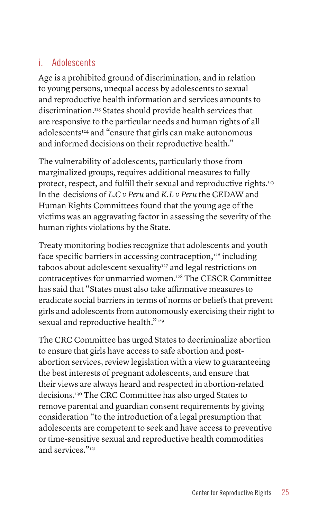## i. Adolescents

Age is a prohibited ground of discrimination, and in relation to young persons, unequal access by adolescents to sexual and reproductive health information and services amounts to discrimination.123 States should provide health services that are responsive to the particular needs and human rights of all adolescents<sup>124</sup> and "ensure that girls can make autonomous and informed decisions on their reproductive health."

The vulnerability of adolescents, particularly those from marginalized groups, requires additional measures to fully protect, respect, and fulfill their sexual and reproductive rights.<sup>125</sup> In the decisions of *L.C v Peru* and *K.L v Peru* the CEDAW and Human Rights Committees found that the young age of the victims was an aggravating factor in assessing the severity of the human rights violations by the State.

Treaty monitoring bodies recognize that adolescents and youth face specific barriers in accessing contraception,<sup>126</sup> including taboos about adolescent sexuality<sup>127</sup> and legal restrictions on contraceptives for unmarried women.128 The CESCR Committee has said that "States must also take affirmative measures to eradicate social barriers in terms of norms or beliefs that prevent girls and adolescents from autonomously exercising their right to sexual and reproductive health."<sup>129</sup>

The CRC Committee has urged States to decriminalize abortion to ensure that girls have access to safe abortion and postabortion services, review legislation with a view to guaranteeing the best interests of pregnant adolescents, and ensure that their views are always heard and respected in abortion-related decisions.130 The CRC Committee has also urged States to remove parental and guardian consent requirements by giving consideration "to the introduction of a legal presumption that adolescents are competent to seek and have access to preventive or time-sensitive sexual and reproductive health commodities and services."131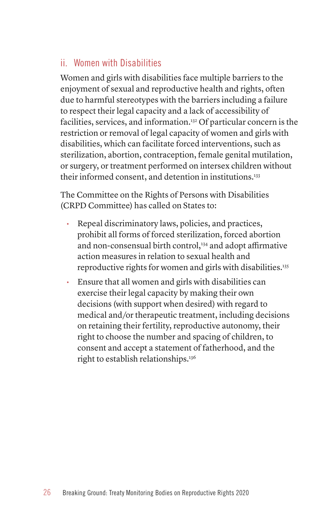## ii. Women with Disabilities

Women and girls with disabilities face multiple barriers to the enjoyment of sexual and reproductive health and rights, often due to harmful stereotypes with the barriers including a failure to respect their legal capacity and a lack of accessibility of facilities, services, and information.132 Of particular concern is the restriction or removal of legal capacity of women and girls with disabilities, which can facilitate forced interventions, such as sterilization, abortion, contraception, female genital mutilation, or surgery, or treatment performed on intersex children without their informed consent, and detention in institutions.<sup>133</sup>

The Committee on the Rights of Persons with Disabilities (CRPD Committee) has called on States to:

- Repeal discriminatory laws, policies, and practices, prohibit all forms of forced sterilization, forced abortion and non-consensual birth control,<sup>134</sup> and adopt affirmative action measures in relation to sexual health and reproductive rights for women and girls with disabilities.<sup>135</sup>
- Ensure that all women and girls with disabilities can exercise their legal capacity by making their own decisions (with support when desired) with regard to medical and/or therapeutic treatment, including decisions on retaining their fertility, reproductive autonomy, their right to choose the number and spacing of children, to consent and accept a statement of fatherhood, and the right to establish relationships.136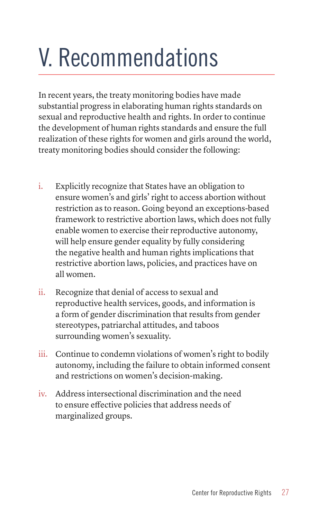# V. Recommendations

In recent years, the treaty monitoring bodies have made substantial progress in elaborating human rights standards on sexual and reproductive health and rights. In order to continue the development of human rights standards and ensure the full realization of these rights for women and girls around the world, treaty monitoring bodies should consider the following:

- i. Explicitly recognize that States have an obligation to ensure women's and girls' right to access abortion without restriction as to reason. Going beyond an exceptions-based framework to restrictive abortion laws, which does not fully enable women to exercise their reproductive autonomy, will help ensure gender equality by fully considering the negative health and human rights implications that restrictive abortion laws, policies, and practices have on all women.
- ii. Recognize that denial of access to sexual and reproductive health services, goods, and information is a form of gender discrimination that results from gender stereotypes, patriarchal attitudes, and taboos surrounding women's sexuality.
- iii. Continue to condemn violations of women's right to bodily autonomy, including the failure to obtain informed consent and restrictions on women's decision-making.
- iv. Address intersectional discrimination and the need to ensure effective policies that address needs of marginalized groups.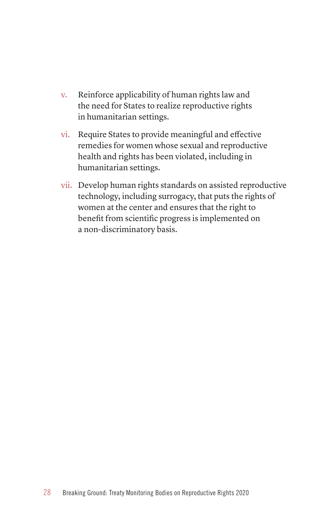- v. Reinforce applicability of human rights law and the need for States to realize reproductive rights in humanitarian settings.
- vi. Require States to provide meaningful and effective remedies for women whose sexual and reproductive health and rights has been violated, including in humanitarian settings.
- vii. Develop human rights standards on assisted reproductive technology, including surrogacy, that puts the rights of women at the center and ensures that the right to benefit from scientific progress is implemented on a non-discriminatory basis.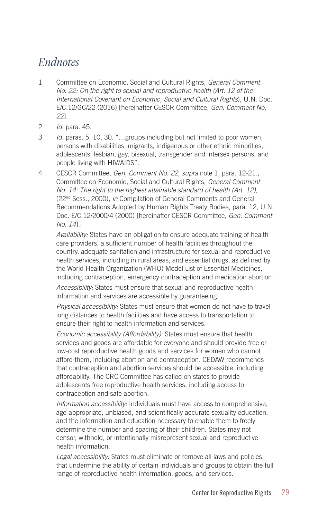## *Endnotes*

- 1 Committee on Economic, Social and Cultural Rights, *General Comment No. 22: On the right to sexual and reproductive health (Art. 12 of the International Covenant on Economic, Social and Cultural Rights*), U.N. Doc. E/C.12/GC/22 (2016) [hereinafter CESCR Committee, *Gen. Comment No. 22*].
- 2 *Id.* para. 45.
- 3 *Id.* paras. 5, 10, 30. "…groups including but not limited to poor women, persons with disabilities, migrants, indigenous or other ethnic minorities, adolescents, lesbian, gay, bisexual, transgender and intersex persons, and people living with HIV/AIDS".
- 4 CESCR Committee, *Gen. Comment No. 22, supra* note 1, para. 12-21.; Committee on Economic, Social and Cultural Rights, *General Comment No. 14: The right to the highest attainable standard of health (Art. 12),* (22nd Sess., 2000), *in* Compilation of General Comments and General Recommendations Adopted by Human Rights Treaty Bodies, para. 12, U.N. Doc. E/C.12/2000/4 (2000) [hereinafter CESCR Committee, *Gen. Comment No. 14*].;

*Availability:* States have an obligation to ensure adequate training of health care providers, a sufficient number of health facilities throughout the country, adequate sanitation and infrastructure for sexual and reproductive health services, including in rural areas, and essential drugs, as defined by the World Health Organization (WHO) Model List of Essential Medicines, including contraception, emergency contraception and medication abortion.

*Accessibility:* States must ensure that sexual and reproductive health information and services are accessible by guaranteeing:

*Physical accessibility:* States must ensure that women do not have to travel long distances to health facilities and have access to transportation to ensure their right to health information and services.

*Economic accessibility (Affordability):* States must ensure that health services and goods are affordable for everyone and should provide free or low-cost reproductive health goods and services for women who cannot afford them, including abortion and contraception. CEDAW recommends that contraception and abortion services should be accessible, including affordability. The CRC Committee has called on states to provide adolescents free reproductive health services, including access to contraception and safe abortion.

*Information accessibility:* Individuals must have access to comprehensive, age-appropriate, unbiased, and scientifically accurate sexuality education, and the information and education necessary to enable them to freely determine the number and spacing of their children. States may not censor, withhold, or intentionally misrepresent sexual and reproductive health information.

*Legal accessibility:* States must eliminate or remove all laws and policies that undermine the ability of certain individuals and groups to obtain the full range of reproductive health information, goods, and services.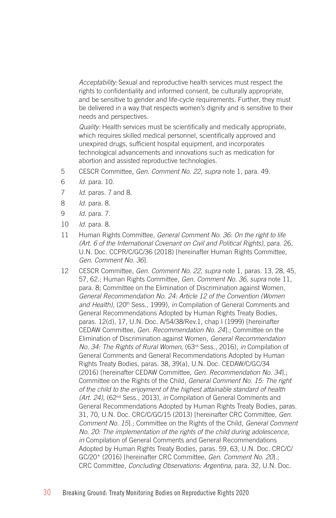*Acceptability:* Sexual and reproductive health services must respect the rights to confidentiality and informed consent, be culturally appropriate, and be sensitive to gender and life-cycle requirements. Further, they must be delivered in a way that respects women's dignity and is sensitive to their needs and perspectives.

*Quality:* Health services must be scientifically and medically appropriate, which requires skilled medical personnel, scientifically approved and unexpired drugs, sufficient hospital equipment, and incorporates technological advancements and innovations such as medication for abortion and assisted reproductive technologies.

- 5 CESCR Committee, *Gen. Comment No. 22*, *supra* note 1, para. 49.
- 6 *Id.* para. 10.
- 7 *Id.* paras. 7 and 8.
- 8 *Id.* para. 8.
- 9 *Id.* para. 7.
- 10 *Id.* para. 8.
- 11 Human Rights Committee, *General Comment No. 36: On the right to life (Art. 6 of the International Covenant on Civil and Political Rights)*, para. 26, U.N. Doc. CCPR/C/GC/36 (2018) [hereinafter Human Rights Committee, *Gen. Comment No. 36*].
- 12 CESCR Committee, *Gen. Comment No. 22*, *supra* note 1, paras. 13, 28, 45, 57, 62.; Human Rights Committee, *Gen. Comment No. 36, supra* note 11, para. 8; Committee on the Elimination of Discrimination against Women, *General Recommendation No. 24: Article 12 of the Convention (Women*  and Health), (20<sup>th</sup> Sess., 1999), *in* Compilation of General Comments and General Recommendations Adopted by Human Rights Treaty Bodies, paras. 12(d), 17, U.N. Doc. A/54/38/Rev.1, chap I (1999) [hereinafter CEDAW Committee, *Gen. Recommendation No. 24*].; Committee on the Elimination of Discrimination against Women, *General Recommendation No. 34: The Rights of Rural Women*, (63rd Sess., 2016), *in* Compilation of General Comments and General Recommendations Adopted by Human Rights Treaty Bodies, paras. 38, 39(a), U.N. Doc. CEDAW/C/GC/34 (2016) [hereinafter CEDAW Committee, *Gen. Recommendation No. 34*].; Committee on the Rights of the Child, *General Comment No. 15: The right of the child to the enjoyment of the highest attainable standard of health (Art. 24)*, (62nd Sess., 2013), *in* Compilation of General Comments and General Recommendations Adopted by Human Rights Treaty Bodies, paras. 31, 70, U.N. Doc. CRC/C/GC/15 (2013) [hereinafter CRC Committee, *Gen. Comment No. 15*].; Committee on the Rights of the Child, *General Comment No. 20: The implementation of the rights of the child during adolescence*, *in* Compilation of General Comments and General Recommendations Adopted by Human Rights Treaty Bodies, paras. 59, 63, U.N. Doc. CRC/C/ GC/20\* (2016) [hereinafter CRC Committee, *Gen. Comment No. 20*].; CRC Committee, *Concluding Observations: Argentina,* para. 32, U.N. Doc.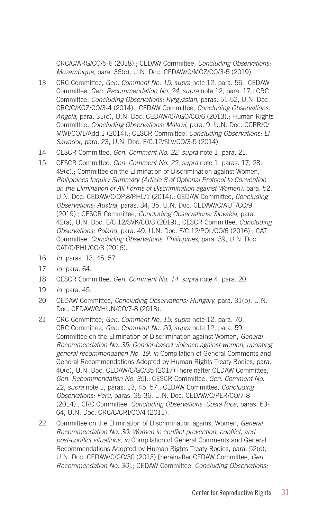CRC/C/ARG/CO/5-6 (2018).; CEDAW Committee, *Concluding Observations: Mozambique,* para. 36(c), U.N. Doc. CEDAW/C/MOZ/CO/3-5 (2019).

- 13 CRC Committee, *Gen. Comment No. 15, supra* note 12, para. 56.; CEDAW Committee, *Gen. Recommendation No. 24*, *supra* note 12, para. 17.; CRC Committee, *Concluding Observations: Kyrgyzstan*, paras. 51-52, U.N. Doc. CRC/C/KGZ/CO/3-4 (2014).; CEDAW Committee, *Concluding Observations: Angola*, para. 31(c), U.N. Doc. CEDAW/C/AGO/CO/6 (2013).; Human Rights Committee, *Concluding Observations: Malawi,* para. 9, U.N. Doc. CCPR/C/ MWI/CO/1/Add.1 (2014).; CESCR Committee, *Concluding Observations: El Salvador*, para. 23, U.N. Doc. E/C.12/SLV/CO/3-5 (2014).
- 14 CESCR Committee, *Gen. Comment No. 22*, *supra* note 1, para. 21.
- 15 CESCR Committee, *Gen. Comment No. 22, supra* note 1, paras. 17, 28, 49(c).; Committee on the Elimination of Discrimination against Women*, Philippines Inquiry Summary (Article 8 of Optional Protocol to Convention on the Elimination of All Forms of Discrimination against Women)*, para. 52, U.N. Doc. CEDAW/C/OP.8/PHL/1 (2014).; CEDAW Committee, *Concluding Observations: Austria*, paras. 34, 35, U.N. Doc. CEDAW/C/AUT/CO/9 (2019).; CESCR Committee, *Concluding Observations: Slovakia,* para. 42(a), U.N. Doc. E/C.12/SVK/CO/3 (2019).; CESCR Committee, *Concluding Observations: Poland*, para. 49, U.N. Doc. E/C.12/POL/CO/6 (2016).; CAT Committee, *Concluding Observations: Philippines*, para. 39, U.N. Doc. CAT/C/PHL/CO/3 (2016).
- 16 *Id.* paras. 13, 45, 57.
- 17 *Id.* para. 64.
- 18 CESCR Committee, *Gen. Comment No. 14, supra* note 4, para. 20.
- 19 *Id.* para. 45.
- 20 CEDAW Committee, *Concluding Observations: Hungary*, para. 31(b), U.N. Doc. CEDAW/C/HUN/CO/7-8 (2013).
- 21 CRC Committee, *Gen. Comment No. 15, supra* note 12, para. 70.; CRC Committee, *Gen. Comment No. 20, supra* note 12, para. 59.; Committee on the Elimination of Discrimination against Women, *General Recommendation No. 35: Gender-based violence against women, updating general recommendation No. 19*, *in* Compilation of General Comments and General Recommendations Adopted by Human Rights Treaty Bodies, para. 40(c), U.N. Doc. CEDAW/C/GC/35 (2017) [hereinafter CEDAW Committee, *Gen. Recommendation No. 35*].; CESCR Committee, *Gen. Comment No. 22*, *supra* note 1, paras. 13, 45, 57.; CEDAW Committee, *Concluding Observations: Peru*, paras. 35-36, U.N. Doc. CEDAW/C/PER/CO/7-8 (2014).; CRC Committee, *Concluding Observations: Costa Rica*, paras. 63- 64, U.N. Doc. CRC/C/CRI/CO/4 (2011).
- 22 Committee on the Elimination of Discrimination against Women, *General Recommendation No. 30: Women in conflict prevention, conflict, and post-conflict situations, in* Compilation of General Comments and General Recommendations Adopted by Human Rights Treaty Bodies, para. 52(c), U.N. Doc. CEDAW/C/GC/30 (2013) [hereinafter CEDAW Committee, *Gen. Recommendation No. 30*].; CEDAW Committee, *Concluding Observations:*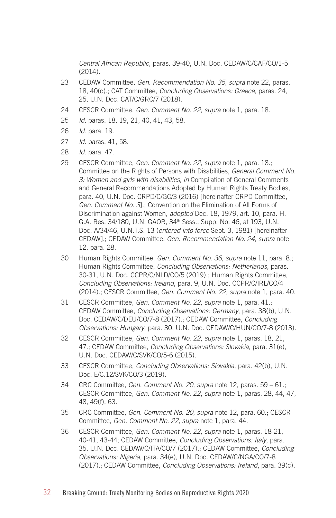*Central African Republic*, paras. 39-40, U.N. Doc. CEDAW/C/CAF/CO/1-5 (2014).

- 23 CEDAW Committee, *Gen. Recommendation No. 35*, *supra* note 22, paras. 18, 40(c).; CAT Committee, *Concluding Observations: Greece*, paras. 24, 25, U.N. Doc. CAT/C/GRC/7 (2018).
- 24 CESCR Committee, *Gen. Comment No. 22, supra* note 1, para. 18.
- 25 *Id.* paras. 18, 19, 21, 40, 41, 43, 58.
- 26 *Id.* para. 19.
- 27 *Id.* paras. 41, 58.
- 28 *Id.* para. 47.
- 29 CESCR Committee, *Gen. Comment No. 22, supra* note 1, para. 18.; Committee on the Rights of Persons with Disabilities, *General Comment No. 3: Women and girls with disabilities, in* Compilation of General Comments and General Recommendations Adopted by Human Rights Treaty Bodies, para. 40, U.N. Doc. CRPD/C/GC/3 (2016) [hereinafter CRPD Committee, *Gen. Comment No. 3*].; Convention on the Elimination of All Forms of Discrimination against Women*, adopted* Dec. 18, 1979, art. 10, para. H, G.A. Res. 34/180, U.N. GAOR, 34th Sess., Supp. No. 46, at 193, U.N. Doc. A/34/46, U.N.T.S. 13 (*entered into force* Sept. 3, 1981) [hereinafter CEDAW].; CEDAW Committee, *Gen. Recommendation No. 24, supra* note 12, para. 28.
- 30 Human Rights Committee, *Gen. Comment No. 36, supra* note 11, para. 8.; Human Rights Committee, *Concluding Observations: Netherlands,* paras. 30-31, U.N. Doc. CCPR/C/NLD/CO/5 (2019).; Human Rights Committee, *Concluding Observations: Ireland*, para. 9, U.N. Doc. CCPR/C/IRL/CO/4 (2014).; CESCR Committee, *Gen. Comment No. 22, supra* note 1, para. 40.
- 31 CESCR Committee, *Gen. Comment No. 22, supra* note 1, para. 41.; CEDAW Committee, *Concluding Observations: Germany*, para. 38(b), U.N. Doc. CEDAW/C/DEU/CO/7-8 (2017).; CEDAW Committee, *Concluding Observations: Hungary*, para. 30, U.N. Doc. CEDAW/C/HUN/CO/7-8 (2013).
- 32 CESCR Committee, *Gen. Comment No. 22, supra* note 1, paras. 18, 21, 47.; CEDAW Committee, *Concluding Observations: Slovakia*, para. 31(e), U.N. Doc. CEDAW/C/SVK/CO/5-6 (2015).
- 33 CESCR Committee, *Concluding Observations: Slovakia*, para. 42(b), U.N. Doc. E/C.12/SVK/CO/3 (2019).
- 34 CRC Committee, *Gen. Comment No. 20*, *supra* note 12, paras. 59 61.; CESCR Committee, *Gen. Comment No. 22*, *supra* note 1, paras. 28, 44, 47, 48, 49(f), 63.
- 35 CRC Committee, *Gen. Comment No. 20*, *supra* note 12, para. 60.; CESCR Committee, *Gen. Comment No. 22*, *supra* note 1, para. 44.
- 36 CESCR Committee, *Gen. Comment No. 22, supra* note 1, paras. 18-21, 40-41, 43-44; CEDAW Committee, *Concluding Observations: Italy*, para. 35, U.N. Doc. CEDAW/C/ITA/CO/7 (2017).; CEDAW Committee, *Concluding Observations: Nigeria,* para. 34(e), U.N. Doc. CEDAW/C/NGA/CO/7-8 (2017).; CEDAW Committee, *Concluding Observations: Ireland*, para. 39(c),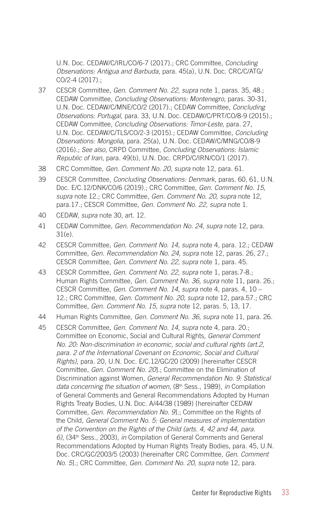U.N. Doc. CEDAW/C/IRL/CO/6-7 (2017).; CRC Committee, *Concluding Observations: Antigua and Barbuda*, para. 45(a), U.N. Doc. CRC/C/ATG/ CO/2-4 (2017).;

- 37 CESCR Committee, *Gen. Comment No. 22*, *supra* note 1, paras. 35, 48.; CEDAW Committee, *Concluding Observations: Montenegro*, paras. 30-31, U.N. Doc. CEDAW/C/MNE/CO/2 (2017).; CEDAW Committee, *Concluding Observations: Portugal*, para. 33, U.N. Doc. CEDAW/C/PRT/CO/8-9 (2015).; CEDAW Committee, *Concluding Observations: Timor-Leste,* para. 27, U.N. Doc. CEDAW/C/TLS/CO/2-3 (2015).; CEDAW Committee, *Concluding Observations: Mongolia*, para. 25(a), U.N. Doc. CEDAW/C/MNG/CO/8-9 (2016).; *See also,* CRPD Committee, *Concluding Observations: Islamic Republic of Iran*, para. 49(b), U.N. Doc. CRPD/C/IRN/CO/1 (2017).
- 38 CRC Committee, *Gen. Comment No. 20*, *supra* note 12, para. 61.
- 39 CESCR Committee, *Concluding Observations: Denmark*, paras. 60, 61, U.N. Doc. E/C.12/DNK/CO/6 (2019).; CRC Committee, *Gen. Comment No. 15, supra* note 12.; CRC Committee, *Gen. Comment No. 20, supra* note 12, para.17.; CESCR Committee, *Gen. Comment No. 22, supra* note 1.
- 40 CEDAW, *supra* note 30, art. 12.
- 41 CEDAW Committee, *Gen. Recommendation No. 24, supra* note 12, para. 31(e).
- 42 CESCR Committee, *Gen. Comment No. 14, supra* note 4, para. 12.; CEDAW Committee, *Gen. Recommendation No. 24, supra* note 12, paras. 26, 27.; CESCR Committee, *Gen. Comment No. 22, supra* note 1, para. 45.
- 43 CESCR Committee, *Gen. Comment No. 22*, *supra* note 1, paras.7-8.; Human Rights Committee, *Gen. Comment No. 36, supra* note 11, para. 26.; CESCR Committee, *Gen. Comment No. 14, supra* note 4, paras. 4, 10 – 12.; CRC Committee, *Gen. Comment No. 20, supra* note 12, para.57.; CRC Committee, *Gen. Comment No. 15, supra* note 12, paras. 5, 13, 17.
- 44 Human Rights Committee, *Gen. Comment No. 36, supra* note 11, para. 26.
- 45 CESCR Committee, *Gen. Comment No. 14, supra* note 4, para. 20.; Committee on Economic, Social and Cultural Rights*, General Comment No. 20: Non-discrimination in economic, social and cultural rights (art.2, para. 2 of the International Covenant on Economic, Social and Cultural Rights)*, para. 20, U.N. Doc. E/C.12/GC/20 (2009) [hereinafter CESCR Committee, *Gen. Comment No. 20*].; Committee on the Elimination of Discrimination against Women, *General Recommendation No. 9: Statistical*  data concerning the situation of women, (8<sup>th</sup> Sess., 1989), in Compilation of General Comments and General Recommendations Adopted by Human Rights Treaty Bodies, U.N. Doc. A/44/38 (1989) [hereinafter CEDAW Committee, *Gen. Recommendation No. 9*].; Committee on the Rights of the Child, *General Comment No. 5: General measures of implementation of the Convention on the Rights of the Child (arts. 4, 42 and 44, para. 6)*, (34th Sess., 2003), *in* Compilation of General Comments and General Recommendations Adopted by Human Rights Treaty Bodies, para. 45, U.N. Doc. CRC/GC/2003/5 (2003) [hereinafter CRC Committee, *Gen. Comment No. 5*].; CRC Committee, *Gen. Comment No. 20*, *supra* note 12, para.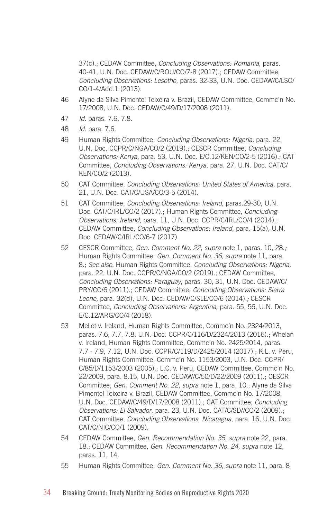37(c).; CEDAW Committee, *Concluding Observations: Romania*, paras. 40-41, U.N. Doc. CEDAW/C/ROU/CO/7-8 (2017).; CEDAW Committee, *Concluding Observations: Lesotho*, paras. 32-33, U.N. Doc. CEDAW/C/LSO/ CO/1-4/Add.1 (2013).

- 46 Alyne da Silva Pimentel Teixeira v. Brazil, CEDAW Committee, Commc'n No. 17/2008, U.N. Doc. CEDAW/C/49/D/17/2008 (2011).
- 47 *Id.* paras. 7.6, 7.8.
- 48 *Id.* para. 7.6.
- 49 Human Rights Committee, *Concluding Observations: Nigeria,* para. 22, U.N. Doc. CCPR/C/NGA/CO/2 (2019).; CESCR Committee, *Concluding Observations: Kenya*, para. 53, U.N. Doc. E/C.12/KEN/CO/2-5 (2016).; CAT Committee, *Concluding Observations: Kenya*, para. 27, U.N. Doc. CAT/C/ KEN/CO/2 (2013).
- 50 CAT Committee, *Concluding Observations: United States of America*, para. 21, U.N. Doc. CAT/C/USA/CO/3-5 (2014).
- 51 CAT Committee, *Concluding Observations: Ireland*, paras.29-30, U.N. Doc. CAT/C/IRL/CO/2 (2017).; Human Rights Committee, *Concluding Observations: Ireland,* para. 11, U.N. Doc. CCPR/C/IRL/CO/4 (2014).; CEDAW Committee, *Concluding Observations: Ireland*, para. 15(a), U.N. Doc. CEDAW/C/IRL/CO/6-7 (2017).
- 52 CESCR Committee*, Gen. Comment No. 22*, *supra* note 1, paras. 10, 28.*;*  Human Rights Committee, *Gen. Comment No. 36, supra* note 11, para. 8.; *See also*, Human Rights Committee, *Concluding Observations: Nigeria,*  para. 22, U.N. Doc. CCPR/C/NGA/CO/2 (2019).; CEDAW Committee, *Concluding Observations: Paraguay*, paras. 30, 31, U.N. Doc. CEDAW/C/ PRY/CO/6 (2011).; CEDAW Committee, *Concluding Observations: Sierra Leone,* para. 32(d), U.N. Doc. CEDAW/C/SLE/CO/6 (2014).*;* CESCR Committee, *Concluding Observations: Argentina,* para. 55, 56, U.N. Doc. E/C.12/ARG/CO/4 (2018).
- 53 Mellet v. Ireland, Human Rights Committee, Commc'n No. 2324/2013, paras. 7.6, 7.7, 7.8, U.N. Doc. CCPR/C/116/D/2324/2013 (2016).; Whelan v. Ireland, Human Rights Committee, Commc'n No. 2425/2014, paras. 7.7 - 7.9, 7.12, U.N. Doc. CCPR/C/119/D/2425/2014 (2017).; K.L. v. Peru*,*  Human Rights Committee, Commc'n No. 1153/2003, U.N. Doc. CCPR/ C/85/D/1153/2003 (2005).; L.C. v. Peru, CEDAW Committee, Commc'n No. 22/2009, para. 8.15, U.N. Doc. CEDAW/C/50/D/22/2009 (2011).; CESCR Committee, *Gen. Comment No. 22*, *supra* note 1, para. 10.; Alyne da Silva Pimentel Teixeira v. Brazil, CEDAW Committee, Commc'n No. 17/2008, U.N. Doc. CEDAW/C/49/D/17/2008 (2011).; CAT Committee, *Concluding Observations: El Salvador*, para. 23, U.N. Doc. CAT/C/SLV/CO/2 (2009).; CAT Committee, *Concluding Observations*: *Nicaragua*, para. 16, U.N. Doc. CAT/C/NIC/CO/1 (2009).
- 54 CEDAW Committee, *Gen. Recommendation No. 35, supra* note 22, para. 18.; CEDAW Committee, *Gen. Recommendation No. 24, supra* note 12, paras. 11, 14.
- 55 Human Rights Committee, *Gen. Comment No. 36, supra* note 11, para. 8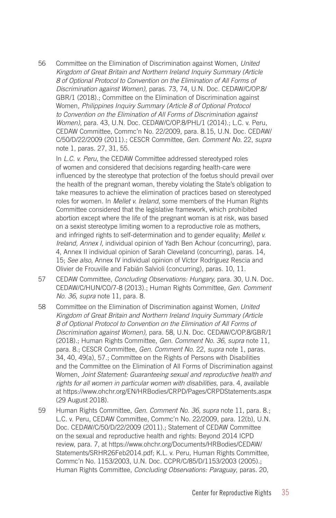56 Committee on the Elimination of Discrimination against Women, *United Kingdom of Great Britain and Northern Ireland Inquiry Summary (Article 8 of Optional Protocol to Convention on the Elimination of All Forms of Discrimination against Women)*, paras. 73, 74, U.N. Doc. CEDAW/C/OP.8/ GBR/1 (2018).; Committee on the Elimination of Discrimination against Women*, Philippines Inquiry Summary (Article 8 of Optional Protocol to Convention on the Elimination of All Forms of Discrimination against Women)*, para. 43, U.N. Doc. CEDAW/C/OP.8/PHL/1 (2014).; L.C. v. Peru, CEDAW Committee, Commc'n No. 22/2009, para. 8.15, U.N. Doc. CEDAW/ C/50/D/22/2009 (2011).; CESCR Committee, *Gen. Comment No.* 22, *supra*  note 1, paras. 27, 31, 55.

In *L.C. v. Peru*, the CEDAW Committee addressed stereotyped roles of women and considered that decisions regarding health-care were influenced by the stereotype that protection of the foetus should prevail over the health of the pregnant woman, thereby violating the State's obligation to take measures to achieve the elimination of practices based on stereotyped roles for women. In *Mellet v. Ireland*, some members of the Human Rights Committee considered that the legislative framework, which prohibited abortion except where the life of the pregnant woman is at risk, was based on a sexist stereotype limiting women to a reproductive role as mothers, and infringed rights to self-determination and to gender equality; *Mellet v. Ireland, Annex I,* individual opinion of Yadh Ben Achour (concurring), para. 4, Annex II individual opinion of Sarah Cleveland (concurring), paras. 14, 15; *See also,* Annex IV individual opinion of Víctor Rodríguez Rescia and Olivier de Frouville and Fabián Salvioli (concurring), paras. 10, 11.

- 57 CEDAW Committee, *Concluding Observations: Hungary,* para. 30, U.N. Doc. CEDAW/C/HUN/CO/7-8 (2013).; Human Rights Committee, *Gen. Comment No. 36, supra* note 11, para. 8.
- 58 Committee on the Elimination of Discrimination against Women, *United Kingdom of Great Britain and Northern Ireland Inquiry Summary (Article 8 of Optional Protocol to Convention on the Elimination of All Forms of Discrimination against Women)*, para. 58, U.N. Doc. CEDAW/C/OP.8/GBR/1 (2018).; Human Rights Committee, *Gen. Comment No. 36, supra* note 11, para. 8.; CESCR Committee, *Gen. Comment No.* 22, *supra* note 1, paras. 34, 40, 49(a), 57.; Committee on the Rights of Persons with Disabilities and the Committee on the Elimination of All Forms of Discrimination against Women, *Joint Statement: Guaranteeing sexual and reproductive health and rights for all women in particular women with disabilities*, para. 4, available at https://www.ohchr.org/EN/HRBodies/CRPD/Pages/CRPDStatements.aspx (29 August 2018).
- 59 Human Rights Committee, *Gen. Comment No. 36, supra* note 11, para. 8.; L.C. v. Peru, CEDAW Committee, Commc'n No. 22/2009, para. 12(b), U.N. Doc. CEDAW/C/50/D/22/2009 (2011).; Statement of CEDAW Committee on the sexual and reproductive health and rights: Beyond 2014 ICPD review, para. 7, at https://www.ohchr.org/Documents/HRBodies/CEDAW/ Statements/SRHR26Feb2014.pdf; K.L. v. Peru*,* Human Rights Committee, Commc'n No. 1153/2003, U.N. Doc. CCPR/C/85/D/1153/2003 (2005).; Human Rights Committee, *Concluding Observations: Paraguay*, paras. 20,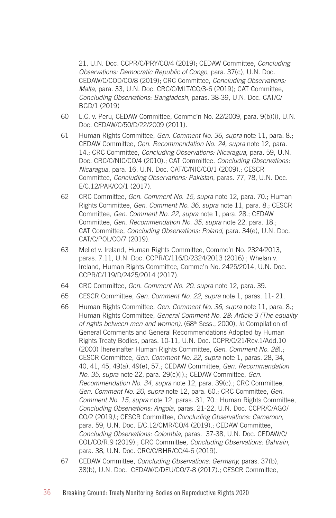21, U.N. Doc. CCPR/C/PRY/CO/4 (2019); CEDAW Committee, *Concluding Observations: Democratic Republic of Congo*, para. 37(c), U.N. Doc. CEDAW/C/COD/CO/8 (2019); CRC Committee, *Concluding Observations: Malta*, para. 33, U.N. Doc. CRC/C/MLT/CO/3-6 (2019); CAT Committee, *Concluding Observations*: *Bangladesh,* paras. 38-39, U.N. Doc. CAT/C/ BGD/1 (2019)

- 60 L.C. v. Peru, CEDAW Committee, Commc'n No. 22/2009, para. 9(b)(i), U.N. Doc. CEDAW/C/50/D/22/2009 (2011).
- 61 Human Rights Committee, *Gen. Comment No. 36, supra* note 11, para. 8.; CEDAW Committee, *Gen. Recommendation No. 24, supra* note 12, para. 14.; CRC Committee, *Concluding Observations: Nicaragua*, para. 59, U.N. Doc. CRC/C/NIC/CO/4 (2010).; CAT Committee, *Concluding Observations: Nicaragua*, para. 16, U.N. Doc. CAT/C/NIC/CO/1 (2009).; CESCR Committee, *Concluding Observations: Pakistan*, paras. 77, 78, U.N. Doc. E/C.12/PAK/CO/1 (2017).
- 62 CRC Committee, *Gen. Comment No. 15, supra* note 12, para. 70.; Human Rights Committee, *Gen. Comment No. 36, supra* note 11, para. 8.; CESCR Committee, *Gen. Comment No. 22, supra* note 1, para. 28.; CEDAW Committee, *Gen. Recommendation No. 35, supra* note 22, para. 18.; CAT Committee, *Concluding Observations: Poland*, para. 34(e), U.N. Doc. CAT/C/POL/CO/7 (2019).
- 63 Mellet v. Ireland, Human Rights Committee, Commc'n No. 2324/2013, paras. 7.11, U.N. Doc. CCPR/C/116/D/2324/2013 (2016).; Whelan v. Ireland, Human Rights Committee, Commc'n No. 2425/2014, U.N. Doc. CCPR/C/119/D/2425/2014 (2017).
- 64 CRC Committee, *Gen. Comment No. 20*, *supra* note 12, para. 39.
- 65 CESCR Committee*, Gen. Comment No. 22*, *supra* note 1, paras. 11- 21.
- 66 Human Rights Committee, *Gen. Comment No. 36, supra* note 11, para. 8.; Human Rights Committee, *General Comment No. 28: Article 3 (The equality of rights between men and women),* (68th Sess., 2000), *in* Compilation of General Comments and General Recommendations Adopted by Human Rights Treaty Bodies, paras. 10-11, U.N. Doc. CCPR/C/21/Rev.1/Add.10 (2000) [hereinafter Human Rights Committee, *Gen. Comment No. 28*].; CESCR Committee, *Gen. Comment No. 22*, *supra* note 1, paras. 28, 34, 40, 41, 45, 49(a), 49(e), 57.; CEDAW Committee, *Gen. Recommendation No. 35, supra* note 22, para. 29(c)(i).; CEDAW Committee, *Gen. Recommendation No. 34, supra* note 12, para. 39(c).; CRC Committee, *Gen. Comment No. 20, supra* note 12, para. 60.; CRC Committee, *Gen. Comment No. 15, supra* note 12, paras. 31, 70.; Human Rights Committee, *Concluding Observations: Angola*, paras. 21-22, U.N. Doc. CCPR/C/AGO/ CO/2 (2019*)*.; CESCR Committee, *Concluding Observations: Cameroon*, para. 59, U.N. Doc. E/C.12/CMR/CO/4 (2019).; CEDAW Committee, *Concluding Observations: Colombia,* paras. 37-38, U.N. Doc. CEDAW/C/ COL/CO/R.9 (2019).; CRC Committee*, Concluding Observations: Bahrain*, para. 38, U.N. Doc. CRC/C/BHR/CO/4-6 (2019).
- 67 CEDAW Committee, *Concluding Observations: Germany,* paras. 37(b), 38(b), U.N. Doc. CEDAW/C/DEU/CO/7-8 (2017).; CESCR Committee,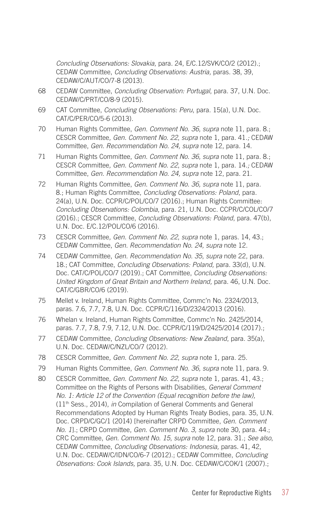*Concluding Observations: Slovakia*, para. 24, E/C.12/SVK/CO/2 (2012).; CEDAW Committee, *Concluding Observations: Austria,* paras. 38, 39, CEDAW/C/AUT/CO/7-8 (2013).

- 68 CEDAW Committee, *Concluding Observation: Portugal*, para. 37, U.N. Doc. CEDAW/C/PRT/CO/8-9 (2015).
- 69 CAT Committee, *Concluding Observations: Peru*, para. 15(a), U.N. Doc. CAT/C/PER/CO/5-6 (2013).
- 70 Human Rights Committee, *Gen. Comment No. 36, supra* note 11, para. 8.; CESCR Committee*, Gen. Comment No. 22*, *supra* note 1, para. 41.*;* CEDAW Committee, *Gen. Recommendation No. 24, supra* note 12, para. 14.
- 71 Human Rights Committee, *Gen. Comment No. 36, supra* note 11, para. 8.; CESCR Committee*, Gen. Comment No. 22*, *supra* note 1, para. 14.*;* CEDAW Committee, *Gen. Recommendation No. 24, supra* note 12, para. 21.
- 72 Human Rights Committee, *Gen. Comment No. 36, supra* note 11, para. 8.; Human Rights Committee, *Concluding Observations: Poland*, para. 24(a), U.N. Doc. CCPR/C/POL/CO/7 (2016).; Human Rights Committee: *Concluding Observations: Colombia*, para. 21, U.N. Doc. CCPR/C/COL/CO/7 (2016).; CESCR Committee, *Concluding Observations: Poland*, para. 47(b), U.N. Doc. E/C.12/POL/CO/6 (2016).
- 73 CESCR Committee*, Gen. Comment No. 22*, *supra* note 1, paras. 14, 43.; CEDAW Committee, *Gen. Recommendation No. 24, supra* note 12.
- 74 CEDAW Committee, *Gen. Recommendation No. 35*, *supra* note 22, para. 18.; CAT Committee, *Concluding Observations: Poland,* para. 33(d), U.N. Doc. CAT/C/POL/CO/7 (2019).; CAT Committee, *Concluding Observations: United Kingdom of Great Britain and Northern Ireland,* para. 46, U.N. Doc. CAT/C/GBR/CO/6 (2019).
- 75 Mellet v. Ireland, Human Rights Committee, Commc'n No. 2324/2013, paras. 7.6, 7.7, 7.8, U.N. Doc. CCPR/C/116/D/2324/2013 (2016).
- 76 Whelan v. Ireland, Human Rights Committee, Commc'n No. 2425/2014, paras. 7.7, 7.8, 7.9, 7.12, U.N. Doc. CCPR/C/119/D/2425/2014 (2017).;
- 77 CEDAW Committee, *Concluding Observations: New Zealand*, para. 35(a), U.N. Doc. CEDAW/C/NZL/CO/7 (2012).
- 78 CESCR Committee*, Gen. Comment No. 22*, *supra* note 1*,* para. 25.
- 79 Human Rights Committee, *Gen. Comment No. 36, supra* note 11*,* para. 9.
- 80 CESCR Committee*, Gen. Comment No. 22*, *supra* note 1*,* paras. 41, 43.; Committee on the Rights of Persons with Disabilities, *General Comment No. 1: Article 12 of the Convention (Equal recognition before the law),*  (11th Sess., 2014), *in* Compilation of General Comments and General Recommendations Adopted by Human Rights Treaty Bodies, para. 35, U.N. Doc. CRPD/C/GC/1 (2014) [hereinafter CRPD Committee, *Gen. Comment No. 1*].; CRPD Committee, *Gen. Comment No. 3, supra* note 30, para. 44.; CRC Committee, *Gen. Comment No. 15*, *supra* note 12, para. 31.; *See also*, CEDAW Committee, *Concluding Observations: Indonesia,* paras. 41, 42, U.N. Doc. CEDAW/C/IDN/CO/6-7 (2012).; CEDAW Committee, *Concluding Observations: Cook Islands,* para. 35, U.N. Doc. CEDAW/C/COK/1 (2007).;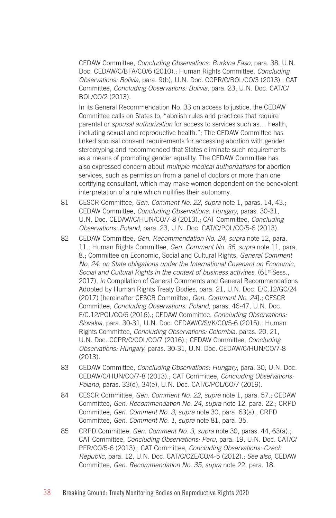CEDAW Committee, *Concluding Observations: Burkina Faso,* para. 38, U.N. Doc. CEDAW/C/BFA/CO/6 (2010).; Human Rights Committee, *Concluding Observations: Bolivia,* para. 9(b), U.N. Doc. CCPR/C/BOL/CO/3 (2013).; CAT Committee, *Concluding Observations: Bolivia*, para. 23, U.N. Doc. CAT/C/ BOL/CO/2 (2013).

In its General Recommendation No. 33 on access to justice, the CEDAW Committee calls on States to, "abolish rules and practices that require parental or *spousal authorization* for access to services such as… health, including sexual and reproductive health."; The CEDAW Committee has linked spousal consent requirements for accessing abortion with gender stereotyping and recommended that States eliminate such requirements as a means of promoting gender equality. The CEDAW Committee has also expressed concern about *multiple medical authorizations* for abortion services, such as permission from a panel of doctors or more than one certifying consultant, which may make women dependent on the benevolent interpretation of a rule which nullifies their autonomy.

- 81 CESCR Committee*, Gen. Comment No. 22*, *supra* note 1, paras. 14, 43.; CEDAW Committee, *Concluding Observations: Hungary*, paras. 30-31, U.N. Doc. CEDAW/C/HUN/CO/7-8 (2013).; CAT Committee, *Concluding Observations: Poland*, para. 23, U.N. Doc. CAT/C/POL/CO/5-6 (2013).
- 82 CEDAW Committee, *Gen. Recommendation No. 24, supra* note 12, para. 11.; Human Rights Committee, *Gen. Comment No. 36, supra* note 11*,* para. 8.; Committee on Economic, Social and Cultural Rights, *General Comment No. 24: on State obligations under the International Covenant on Economic, Social and Cultural Rights in the context of business activities*, (61st Sess., 2017), *in* Compilation of General Comments and General Recommendations Adopted by Human Rights Treaty Bodies, para. 21, U.N. Doc. E/C.12/GC/24 (2017) [hereinafter CESCR Committee, *Gen. Comment No. 24*].; CESCR Committee, *Concluding Observations: Poland,* paras. 46-47, U.N. Doc. E/C.12/POL/CO/6 (2016).; CEDAW Committee, *Concluding Observations: Slovakia,* para. 30-31, U.N. Doc. CEDAW/C/SVK/CO/5-6 (2015).; Human Rights Committee, *Concluding Observations: Colombia*, paras. 20, 21, U.N. Doc. CCPR/C/COL/CO/7 (2016).; CEDAW Committee, *Concluding Observations: Hungary*, paras. 30-31, U.N. Doc. CEDAW/C/HUN/CO/7-8 (2013).
- 83 CEDAW Committee, *Concluding Observations: Hungary*, para. 30, U.N. Doc. CEDAW/C/HUN/CO/7-8 (2013).; CAT Committee, *Concluding Observations: Poland,* paras. 33(d), 34(e), U.N. Doc. CAT/C/POL/CO/7 (2019).
- 84 CESCR Committee*, Gen. Comment No. 22*, *supra* note 1, para. 57.; CEDAW Committee, *Gen. Recommendation No. 24, supra* note 12, para. 22.; CRPD Committee, *Gen. Comment No. 3, supra* note 30, para. 63(a).; CRPD Committee, *Gen. Comment No. 1, supra* note 81, para. 35.
- 85 CRPD Committee, *Gen. Comment No. 3, supra* note 30, paras. 44, 63(a).; CAT Committee, *Concluding Observations: Peru*, para. 19, U.N. Doc. CAT/C/ PER/CO/5-6 (2013).; CAT Committee, *Concluding Observations: Czech Republic,* para. 12, U.N. Doc. CAT/C/CZE/CO/4-5 (2012).; *See also,* CEDAW Committee, *Gen. Recommendation No. 35*, *supra* note 22, para. 18.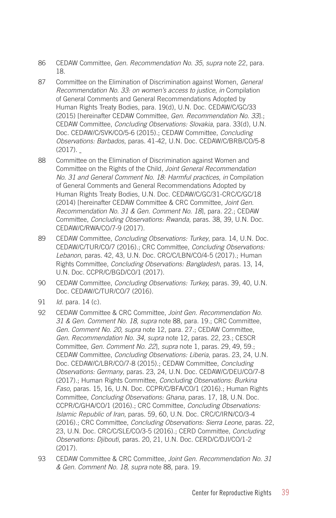- 86 CEDAW Committee, *Gen. Recommendation No. 35*, *supra* note 22, para. 18.
- 87 Committee on the Elimination of Discrimination against Women, *General Recommendation No. 33: on women's access to justice*, *in* Compilation of General Comments and General Recommendations Adopted by Human Rights Treaty Bodies, para. 19(d), U.N. Doc. CEDAW/C/GC/33 (2015) [hereinafter CEDAW Committee, *Gen. Recommendation No. 33*].; CEDAW Committee, *Concluding Observations: Slovakia*, para. 33(d), U.N. Doc. CEDAW/C/SVK/CO/5-6 (2015).; CEDAW Committee, *Concluding Observations: Barbados*, paras. 41-42, U.N. Doc. CEDAW/C/BRB/CO/5-8 (2017).
- 88 Committee on the Elimination of Discrimination against Women and Committee on the Rights of the Child, *Joint General Recommendation No. 31 and General Comment No. 18: Harmful practices, in* Compilation of General Comments and General Recommendations Adopted by Human Rights Treaty Bodies, U.N. Doc. CEDAW/C/GC/31-CRC/C/GC/18 (2014) [hereinafter CEDAW Committee & CRC Committee, *Joint Gen. Recommendation No. 31 & Gen. Comment No. 18*], para. 22.; CEDAW Committee, *Concluding Observations: Rwanda,* paras. 38, 39, U.N. Doc. CEDAW/C/RWA/CO/7-9 (2017).
- 89 CEDAW Committee, *Concluding Observations: Turkey*, para. 14, U.N. Doc. CEDAW/C/TUR/CO/7 (2016).; CRC Committee, *Concluding Observations: Lebanon*, paras. 42, 43, U.N. Doc. CRC/C/LBN/CO/4-5 (2017).; Human Rights Committee, *Concluding Observations: Bangladesh*, paras. 13, 14, U.N. Doc. CCPR/C/BGD/CO/1 (2017).
- 90 CEDAW Committee, *Concluding Observations: Turkey,* paras. 39, 40, U.N. Doc. CEDAW/C/TUR/CO/7 (2016).
- 91 *Id*. para. 14 (c).
- 92 CEDAW Committee & CRC Committee, *Joint Gen. Recommendation No. 31 & Gen. Comment No. 18, supra* note 88, para. 19.; CRC Committee, *Gen. Comment No. 20, supra* note 12, para. 27.; CEDAW Committee, *Gen. Recommendation No. 34, supra* note 12*,* paras. 22, 23.; CESCR Committee, *Gen. Comment No. 22*], *supra* note 1, paras. 29, 49, 59.; CEDAW Committee, *Concluding Observations: Liberia*, paras. 23, 24, U.N. Doc. CEDAW/C/LBR/CO/7-8 (2015).; CEDAW Committee, *Concluding Observations: Germany*, paras. 23, 24, U.N. Doc. CEDAW/C/DEU/CO/7-8 (2017).; Human Rights Committee, *Concluding Observations: Burkina Faso*, paras. 15, 16, U.N. Doc. CCPR/C/BFA/CO/1 (2016).; Human Rights Committee, *Concluding Observations: Ghana,* paras. 17, 18, U.N. Doc. CCPR/C/GHA/CO/1 (2016).; CRC Committee, *Concluding Observations: Islamic Republic of Iran*, paras. 59, 60, U.N. Doc. CRC/C/IRN/CO/3-4 (2016).; CRC Committee, *Concluding Observations: Sierra Leone*, paras. 22, 23, U.N. Doc. CRC/C/SLE/CO/3-5 (2016).; CERD Committee, *Concluding Observations: Djibouti*, paras. 20, 21, U.N. Doc. CERD/C/DJI/CO/1-2 (2017).
- 93 CEDAW Committee & CRC Committee, *Joint Gen. Recommendation No. 31 & Gen. Comment No. 18, supra* note 88, para. 19.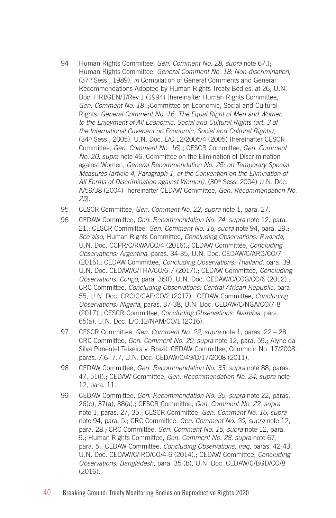- 94 Human Rights Committee, *Gen. Comment No. 28, supra* note 67.); Human Rights Committee, *General Comment No. 18: Non-discrimination*, (37th Sess., 1989), *in* Compilation of General Comments and General Recommendations Adopted by Human Rights Treaty Bodies, at 26, U.N. Doc. HRI/GEN/1/Rev.1 (1994) [hereinafter Human Rights Committee, *Gen. Comment No. 18*].;Committee on Economic, Social and Cultural Rights, *General Comment No. 16: The Equal Right of Men and Women to the Enjoyment of All Economic, Social and Cultural Rights (art. 3 of the International Covenant on Economic, Social and Cultural Rights)*, (34th Sess., 2005), U.N. Doc. E/C.12/2005/4 (2005) [hereinafter CESCR Committee, *Gen. Comment No. 16*].; CESCR Committee, *Gen. Comment No. 20, supra* note 46.;Committee on the Elimination of Discrimination against Women, *General Recommendation No. 25: on Temporary Special Measures (article 4, Paragraph 1, of the Convention on the Elimination of*  All Forms of Discrimination against Women), (30<sup>th</sup> Sess. 2004) U.N. Doc. A/59/38 (2004) [hereinafter CEDAW Committee, *Gen. Recommendation No. 25*].
- 95 CESCR Committee*, Gen. Comment No. 22*, *supra* note 1, para. 27.
- 96 CEDAW Committee, *Gen. Recommendation No. 24, supra* note 12, para. 21.; CESCR Committee, *Gen. Comment No. 16, supra* note 94, para. 29.; *See also*, Human Rights Committee, *Concluding Observations: Rwanda*, U.N. Doc. CCPR/C/RWA/CO/4 (2016).; CEDAW Committee, *Concluding Observations: Argentina,* paras. 34-35, U.N. Doc. CEDAW/C/ARG/CO/7 (2016).; CEDAW Committee, *Concluding Observations: Thailand,* para. 39, U.N. Doc. CEDAW/C/THA/CO/6-7 (2017).; CEDAW Committee, *Concluding Observations: Congo*, para. 36(f), U.N. Doc. CEDAW/C/COG/CO/6 (2012).; CRC Committee, *Concluding Observations: Central African Republic*, para. 55, U.N. Doc. CRC/C/CAF/CO/2 (2017).; CEDAW Committee, *Concluding Observations: Nigeria*, paras. 37-38, U.N. Doc. CEDAW/C/NGA/CO/7-8 (2017).; CESCR Committee, *Concluding Observations: Namibia*, para. 65(a), U.N. Doc. E/C.12/NAM/CO/1 (2016).
- 97 CESCR Committee*, Gen. Comment No. 22*, *supra* note 1, paras. 22 28.; CRC Committee, *Gen. Comment No. 20, supra* note 12, para. 59.; Alyne da Silva Pimentel Teixeira v. Brazil, CEDAW Committee, Commc'n No. 17/2008, paras. 7.6- 7.7, U.N. Doc. CEDAW/C/49/D/17/2008 (2011).
- 98 CEDAW Committee, *Gen. Recommendation No. 33, supra* note 88*,* paras. 47, 51(l).; CEDAW Committee, *Gen. Recommendation No. 24, supra* note 12, para. 11.
- 99 CEDAW Committee, *Gen. Recommendation No. 35*, *supra* note 22, paras. 26(c), 37(a), 38(a).; CESCR Committee*, Gen. Comment No. 22*, *supra* note 1, paras. 27, 35.; CESCR Committee, *Gen. Comment No. 16, supra*  note 94, para. 5.; CRC Committee, *Gen. Comment No. 20, supra* note 12, para. 28.*;* CRC Committee, *Gen. Comment No. 15, supra* note 12, para. 9.; Human Rights Committee, *Gen. Comment No. 28, supra* note 67, para. 5.; CEDAW Committee, *Concluding Observations: Iraq,* paras. 42-43, U.N. Doc. CEDAW/C/IRQ/CO/4-6 (2014).; CEDAW Committee, *Concluding Observations: Bangladesh*, para. 35 (b), U.N. Doc. CEDAW/C/BGD/CO/8 (2016).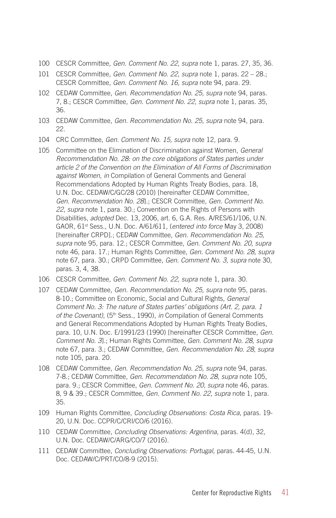- 100 CESCR Committee*, Gen. Comment No. 22*, *supra* note 1, paras. 27, 35, 36.
- 101 CESCR Committee*, Gen. Comment No. 22*, *supra* note 1, paras. 22 28.; CESCR Committee, *Gen. Comment No. 16, supra* note 94, para. 29.
- 102 CEDAW Committee, *Gen. Recommendation No. 25, supra* note 94, paras. 7, 8.; CESCR Committee*, Gen. Comment No. 22*, *supra* note 1, paras. 35, 36.
- 103 CEDAW Committee, *Gen. Recommendation No. 25, supra* note 94, para. 22.
- 104 CRC Committee, *Gen. Comment No. 15, supra* note 12, para. 9.
- 105 Committee on the Elimination of Discrimination against Women, *General Recommendation No. 28: on the core obligations of States parties under article 2 of the Convention on the Elimination of All Forms of Discrimination against Women*, *in* Compilation of General Comments and General Recommendations Adopted by Human Rights Treaty Bodies, para. 18, U.N. Doc. CEDAW/C/GC/28 (2010) [hereinafter CEDAW Committee, *Gen. Recommendation No. 28*].; CESCR Committee*, Gen. Comment No. 22*, *supra* note 1, para. 30.; Convention on the Rights of Persons with Disabilities, *adopted* Dec. 13, 2006, art. 6, G.A. Res. A/RES/61/106, U.N. GAOR, 61st Sess., U.N. Doc. A/61/611, (*entered into force* May 3, 2008) [hereinafter CRPD].; CEDAW Committee, *Gen. Recommendation No. 25, supra* note 95, para. 12.; CESCR Committee, *Gen. Comment No. 20, supra*  note 46, para. 17.; Human Rights Committee, *Gen. Comment No. 28, supra*  note 67, para. 30.; CRPD Committee, *Gen. Comment No. 3, supra* note 30, paras. 3, 4, 38.
- 106 CESCR Committee*, Gen. Comment No. 22*, *supra* note 1, para. 30.
- 107 CEDAW Committee, *Gen. Recommendation No. 25, supra* note 95, paras. 8-10.; Committee on Economic, Social and Cultural Rights*, General Comment No. 3: The nature of States parties' obligations (Art. 2, para. 1 of the Covenant)*, (5th Sess., 1990), *in* Compilation of General Comments and General Recommendations Adopted by Human Rights Treaty Bodies, para. 10, U.N. Doc. E/1991/23 (1990) [hereinafter CESCR Committee, *Gen. Comment No. 3*].; Human Rights Committee, *Gen. Comment No. 28, supra*  note 67, para. 3.; CEDAW Committee, *Gen. Recommendation No. 28, supra*  note 105, para. 20.
- 108 CEDAW Committee, *Gen. Recommendation No. 25, supra* note 94, paras. 7-8.; CEDAW Committee, *Gen. Recommendation No. 28, supra* note 105, para. 9.; CESCR Committee, *Gen. Comment No. 20, supra* note 46, paras. 8, 9 & 39.; CESCR Committee*, Gen. Comment No. 22*, *supra* note 1, para. 35.
- 109 Human Rights Committee, *Concluding Observations: Costa Rica*, paras. 19- 20, U.N. Doc. CCPR/C/CRI/CO/6 (2016).
- 110 CEDAW Committee, *Concluding Observations: Argentina,* paras. 4(d), 32, U.N. Doc. CEDAW/C/ARG/CO/7 (2016).
- 111 CEDAW Committee, *Concluding Observations: Portugal,* paras. 44-45, U.N. Doc. CEDAW/C/PRT/CO/8-9 (2015).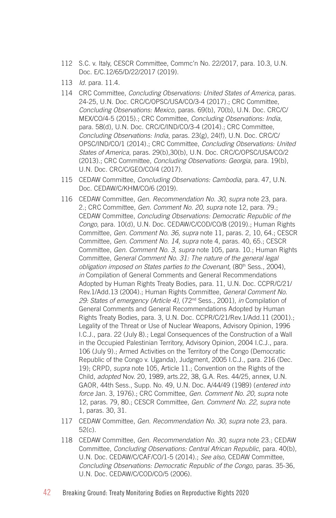- 112 S.C. v. Italy, CESCR Committee, Commc'n No. 22/2017, para. 10.3, U.N. Doc. E/C.12/65/D/22/2017 (2019).
- 113 *Id.* para. 11.4.
- 114 CRC Committee, *Concluding Observations: United States of America*, paras. 24-25, U.N. Doc. CRC/C/OPSC/USA/CO/3-4 (2017).; CRC Committee, *Concluding Observations: Mexico*, paras. 69(b), 70(b), U.N. Doc. CRC/C/ MEX/CO/4-5 (2015).; CRC Committee, *Concluding Observations: India*, para. 58(d), U.N. Doc. CRC/C/IND/CO/3-4 (2014).; CRC Committee, *Concluding Observations: India*, paras. 23(g), 24(f), U.N. Doc. CRC/C/ OPSC/IND/CO/1 (2014).; CRC Committee, *Concluding Observations: United States of America*, paras. 29(b),30(b), U.N. Doc. CRC/C/OPSC/USA/CO/2 (2013).; CRC Committee, *Concluding Observations: Georgia*, para. 19(b), U.N. Doc. CRC/C/GEO/CO/4 (2017).
- 115 CEDAW Committee, *Concluding Observations: Cambodia*, para. 47, U.N. Doc. CEDAW/C/KHM/CO/6 (2019).
- 116 CEDAW Committee, *Gen. Recommendation No. 30, supra* note 23, para. 2.; CRC Committee, *Gen. Comment No. 20, supra* note 12, para. 79.; CEDAW Committee, *Concluding Observations: Democratic Republic of the Congo*, para. 10(d), U.N. Doc. CEDAW/C/COD/CO/8 (2019).; Human Rights Committee, *Gen. Comment No. 36, supra* note 11*,* paras. 2, 10, 64.; CESCR Committee, *Gen. Comment No. 14, supra* note 4, paras. 40, 65.; CESCR Committee, *Gen. Comment No. 3, supra* note 105*,* para. 10.; Human Rights Committee, *General Comment No. 31: The nature of the general legal obligation imposed on States parties to the Covenant*, (80<sup>th</sup> Sess., 2004), *in* Compilation of General Comments and General Recommendations Adopted by Human Rights Treaty Bodies, para. 11, U.N. Doc. CCPR/C/21/ Rev.1/Add.13 (2004).; Human Rights Committee, *General Comment No. 29: States of emergency (Article 4),* (72nd Sess., 2001), *in* Compilation of General Comments and General Recommendations Adopted by Human Rights Treaty Bodies, para. 3, U.N. Doc. CCPR/C/21/Rev.1/Add.11 (2001).; Legality of the Threat or Use of Nuclear Weapons, Advisory Opinion, 1996 I.C.J., para. 22 (July 8).; Legal Consequences of the Construction of a Wall in the Occupied Palestinian Territory, Advisory Opinion, 2004 I.C.J., para. 106 (July 9).; Armed Activities on the Territory of the Congo (Democratic Republic of the Congo v. Uganda), Judgment, 2005 I.C.J., para. 216 (Dec. 19); CRPD, *supra* note 105, Article 11.; Convention on the Rights of the Child, *adopted* Nov. 20, 1989, arts.22, 38, G.A. Res. 44/25, annex, U.N. GAOR, 44th Sess., Supp. No. 49, U.N. Doc. A/44/49 (1989) (*entered into force* Jan. 3, 1976).; CRC Committee, *Gen. Comment No. 20, supra* note 12, paras. 79, 80.; CESCR Committee*, Gen. Comment No. 22*, *supra* note 1, paras. 30, 31.
- 117 CEDAW Committee, *Gen. Recommendation No. 30, supra* note 23, para. 52(c).
- 118 CEDAW Committee, *Gen. Recommendation No. 30, supra* note 23.; CEDAW Committee, *Concluding Observations: Central African Republic*, para. 40(b), U.N. Doc. CEDAW/C/CAF/CO/1-5 (2014).; *See also,* CEDAW Committee, *Concluding Observations: Democratic Republic of the Congo*, paras. 35-36, U.N. Doc. CEDAW/C/COD/CO/5 (2006).
- 42 Breaking Ground: Treaty Monitoring Bodies on Reproductive Rights 2020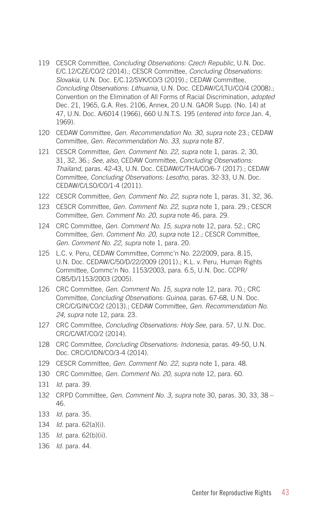- 119 CESCR Committee, *Concluding Observations: Czech Republic*, U.N. Doc. E/C.12/CZE/CO/2 (2014).; CESCR Committee, *Concluding Observations: Slovakia*, U.N. Doc. E/C.12/SVK/CO/3 (2019).; CEDAW Committee, *Concluding Observations: Lithuania*, U.N. Doc. CEDAW/C/LTU/CO/4 (2008).; Convention on the Elimination of All Forms of Racial Discrimination, *adopted*  Dec. 21, 1965, G.A. Res. 2106, Annex, 20 U.N. GAOR Supp. (No. 14) at 47, U.N. Doc. A/6014 (1966), 660 U.N.T.S. 195 (*entered into force* Jan. 4, 1969).
- 120 CEDAW Committee, *Gen. Recommendation No. 30, supra* note 23.; CEDAW Committee, *Gen. Recommendation No. 33, supra* note 87.
- 121 CESCR Committee*, Gen. Comment No. 22*, *supra* note 1, paras. 2, 30, 31, 32, 36.; *See, also*, CEDAW Committee, *Concluding Observations: Thailand,* paras. 42-43, U.N. Doc. CEDAW/C/THA/CO/6-7 (2017).; CEDAW Committee, *Concluding Observations: Lesotho,* paras. 32-33, U.N. Doc. CEDAW/C/LSO/CO/1-4 (2011).
- 122 CESCR Committee*, Gen. Comment No. 22*, *supra* note 1, paras. 31, 32, 36.
- 123 CESCR Committee*, Gen. Comment No. 22*, *supra* note 1, para. 29.; CESCR Committee, *Gen. Comment No. 20, supra* note 46, para. 29.
- 124 CRC Committee, *Gen. Comment No. 15, supra* note 12, para. 52.; CRC Committee, *Gen. Comment No. 20, supra* note 12.; CESCR Committee*, Gen. Comment No. 22*, *supra* note 1, para. 20.
- 125 L.C. v. Peru, CEDAW Committee, Commc'n No. 22/2009, para. 8.15, U.N. Doc. CEDAW/C/50/D/22/2009 (2011).; K.L. v. Peru*,* Human Rights Committee, Commc'n No. 1153/2003, para. 6.5, U.N. Doc. CCPR/ C/85/D/1153/2003 (2005).
- 126 CRC Committee, *Gen. Comment No. 15, supra* note 12, para. 70.; CRC Committee, *Concluding Observations: Guinea*, paras. 67-68, U.N. Doc. CRC/C/GIN/CO/2 (2013).; CEDAW Committee, *Gen. Recommendation No. 24, supra* note 12, para. 23.
- 127 CRC Committee, *Concluding Observations: Holy See*, para. 57, U.N. Doc. CRC/C/VAT/CO/2 (2014).
- 128 CRC Committee, *Concluding Observations: Indonesia*, paras. 49-50, U.N. Doc. CRC/C/IDN/CO/3-4 (2014).
- 129 CESCR Committee*, Gen. Comment No. 22*, *supra* note 1, para. 48.
- 130 CRC Committee, *Gen. Comment No. 20, supra* note 12, para. 60.
- 131 *Id.* para. 39.
- 132 CRPD Committee, *Gen. Comment No. 3, supra* note 30, paras. 30, 33, 38 46.
- 133 *Id.* para. 35.
- 134 *Id.* para. 62(a)(i).
- 135 *Id.* para. 62(b)(ii).
- 136 *Id.* para. 44.